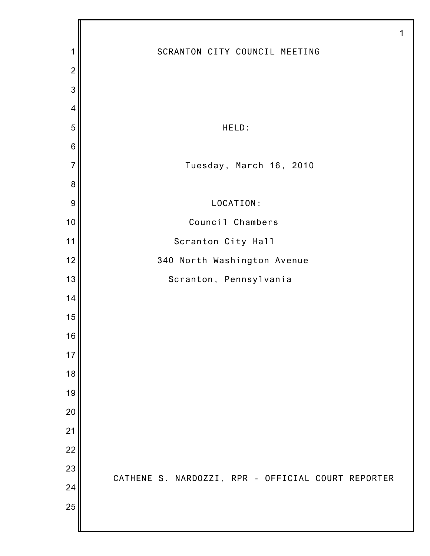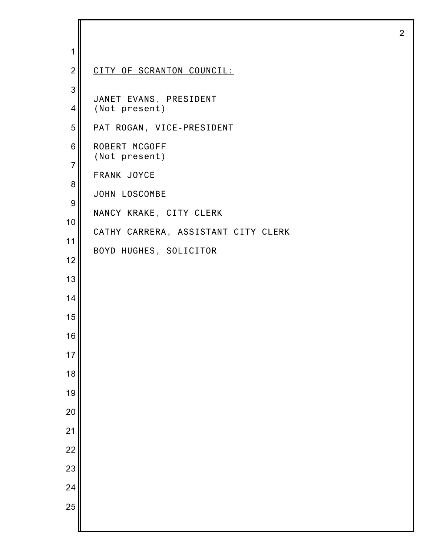```
1
2
3
4
5
6
7
8
9
10
11
12
13
14
15
16
17
18
19
20
21
22
23
24
25
     CITY OF SCRANTON COUNCIL:
     JANET EVANS, PRESIDENT
     (Not present)
     PAT ROGAN, VICE-PRESIDENT
     ROBERT MCGOFF
     (Not present)
     FRANK JOYCE
     JOHN LOSCOMBE
     NANCY KRAKE, CITY CLERK
     CATHY CARRERA, ASSISTANT CITY CLERK
     BOYD HUGHES, SOLICITOR
```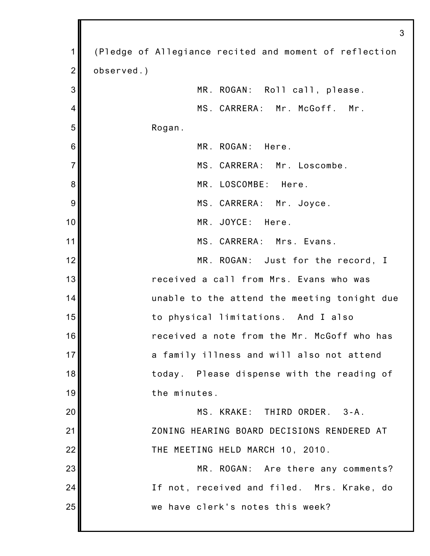|                | 3                                                      |
|----------------|--------------------------------------------------------|
| 1              | (Pledge of Allegiance recited and moment of reflection |
| $\overline{2}$ | observed.)                                             |
| 3              | MR. ROGAN: Roll call, please.                          |
| 4              | MS. CARRERA: Mr. McGoff.<br>Mr.                        |
| 5              | Rogan.                                                 |
| 6              | MR. ROGAN: Here.                                       |
| $\overline{7}$ | MS. CARRERA: Mr. Loscombe.                             |
| 8              | MR. LOSCOMBE: Here.                                    |
| 9              | MS. CARRERA: Mr. Joyce.                                |
| 10             | MR. JOYCE: Here.                                       |
| 11             | MS. CARRERA: Mrs. Evans.                               |
| 12             | MR. ROGAN: Just for the record, I                      |
| 13             | received a call from Mrs. Evans who was                |
| 14             | unable to the attend the meeting tonight due           |
| 15             | to physical limitations. And I also                    |
| 16             | received a note from the Mr. McGoff who has            |
| 17             | a family illness and will also not attend              |
| 18             | today. Please dispense with the reading of             |
| 19             | the minutes.                                           |
| 20             | MS. KRAKE: THIRD ORDER. 3-A.                           |
| 21             | ZONING HEARING BOARD DECISIONS RENDERED AT             |
| 22             | THE MEETING HELD MARCH 10, 2010.                       |
| 23             | MR. ROGAN: Are there any comments?                     |
| 24             | If not, received and filed. Mrs. Krake, do             |
| 25             | we have clerk's notes this week?                       |
|                |                                                        |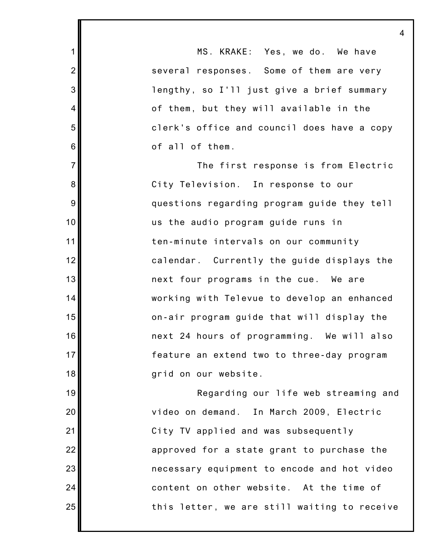| MS. KRAKE: Yes, we do. We have              |
|---------------------------------------------|
| several responses. Some of them are very    |
| lengthy, so I'll just give a brief summary  |
| of them, but they will available in the     |
| clerk's office and council does have a copy |
| of all of them.                             |
| The first response is from Electric         |
| City Television. In response to our         |
| questions regarding program guide they tell |
| us the audio program guide runs in          |
| ten-minute intervals on our community       |
| calendar. Currently the guide displays the  |
| next four programs in the cue. We are       |
| working with Televue to develop an enhanced |
| on-air program guide that will display the  |
| next 24 hours of programming. We will also  |
| feature an extend two to three-day program  |
| grid on our website.                        |
| Regarding our life web streaming and        |
| video on demand. In March 2009, Electric    |
| City TV applied and was subsequently        |
| approved for a state grant to purchase the  |
|                                             |

necessary equipment to encode and hot video

this letter, we are still waiting to receive

content on other website. At the time of

1

2

3

4

5

6

7

8

9

10

11

12

13

14

15

16

17

18

19

20

21

22

23

24

25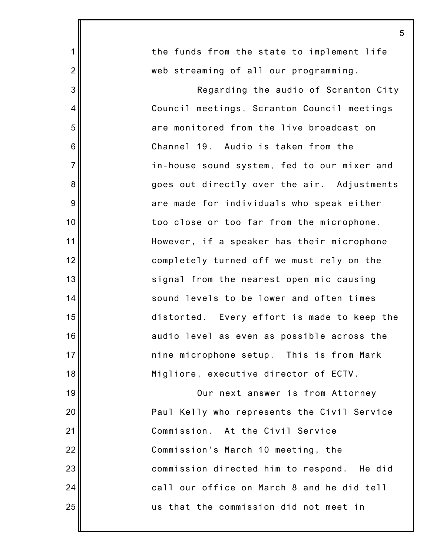1 2 3 4 5 6 7 8 9 10 11 12 13 14 15 16 17 18 19 20 21 22 23 24 the funds from the state to implement life web streaming of all our programming. Regarding the audio of Scranton City Council meetings, Scranton Council meetings are monitored from the live broadcast on Channel 19. Audio is taken from the in-house sound system, fed to our mixer and goes out directly over the air. Adjustments are made for individuals who speak either too close or too far from the microphone. However, if a speaker has their microphone completely turned off we must rely on the signal from the nearest open mic causing sound levels to be lower and often times distorted. Every effort is made to keep the audio level as even as possible across the nine microphone setup. This is from Mark Migliore, executive director of ECTV. Our next answer is from Attorney Paul Kelly who represents the Civil Service Commission. At the Civil Service Commission's March 10 meeting, the commission directed him to respond. He did call our office on March 8 and he did tell

us that the commission did not meet in

5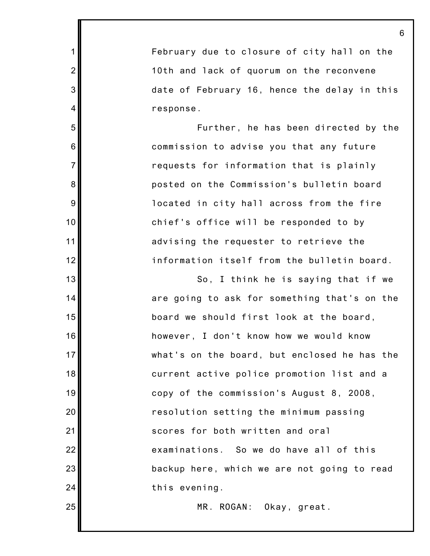February due to closure of city hall on the 10th and lack of quorum on the reconvene date of February 16, hence the delay in this response.

1

2

3

4

5

6

7

8

9

10

11

12

13

14

15

16

17

18

19

20

21

22

23

24

25

Further, he has been directed by the commission to advise you that any future requests for information that is plainly posted on the Commission's bulletin board located in city hall across from the fire chief's office will be responded to by advising the requester to retrieve the information itself from the bulletin board.

So, I think he is saying that if we are going to ask for something that's on the board we should first look at the board, however, I don't know how we would know what's on the board, but enclosed he has the current active police promotion list and a copy of the commission's August 8, 2008, resolution setting the minimum passing scores for both written and oral examinations. So we do have all of this backup here, which we are not going to read this evening.

MR. ROGAN: Okay, great.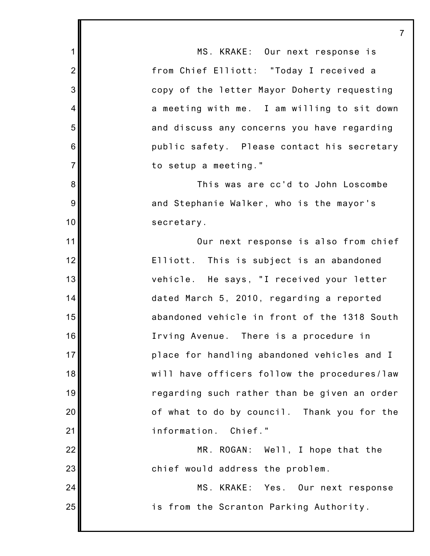1 2 3 4 5 6 7 8 9 10 11 12 13 14 15 16 17 18 19 20 21 22 23 24 25 MS. KRAKE: Our next response is from Chief Elliott: "Today I received a copy of the letter Mayor Doherty requesting a meeting with me. I am willing to sit down and discuss any concerns you have regarding public safety. Please contact his secretary to setup a meeting." This was are cc'd to John Loscombe and Stephanie Walker, who is the mayor's secretary. Our next response is also from chief Elliott. This is subject is an abandoned vehicle. He says, "I received your letter dated March 5, 2010, regarding a reported abandoned vehicle in front of the 1318 South Irving Avenue. There is a procedure in place for handling abandoned vehicles and I will have officers follow the procedures/law regarding such rather than be given an order of what to do by council. Thank you for the information. Chief." MR. ROGAN: Well, I hope that the chief would address the problem. MS. KRAKE: Yes. Our next response is from the Scranton Parking Authority.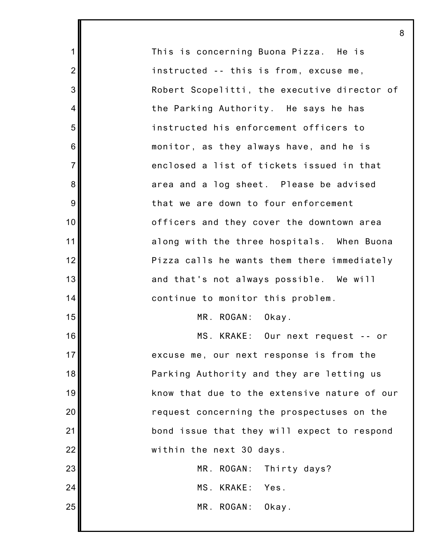This is concerning Buona Pizza. He is instructed -- this is from, excuse me, Robert Scopelitti, the executive director of the Parking Authority. He says he has instructed his enforcement officers to monitor, as they always have, and he is enclosed a list of tickets issued in that area and a log sheet. Please be advised that we are down to four enforcement officers and they cover the downtown area along with the three hospitals. When Buona Pizza calls he wants them there immediately and that's not always possible. We will continue to monitor this problem. MR. ROGAN: Okay.

MS. KRAKE: Our next request -- or excuse me, our next response is from the Parking Authority and they are letting us know that due to the extensive nature of our request concerning the prospectuses on the bond issue that they will expect to respond within the next 30 days.

| 23 |  |                  | MR. ROGAN: Thirty days? |
|----|--|------------------|-------------------------|
| 24 |  | MS. KRAKE: Yes.  |                         |
| 25 |  | MR. ROGAN: Okay. |                         |

1

2

3

4

5

6

7

8

9

10

11

12

13

14

15

16

17

18

19

20

21

22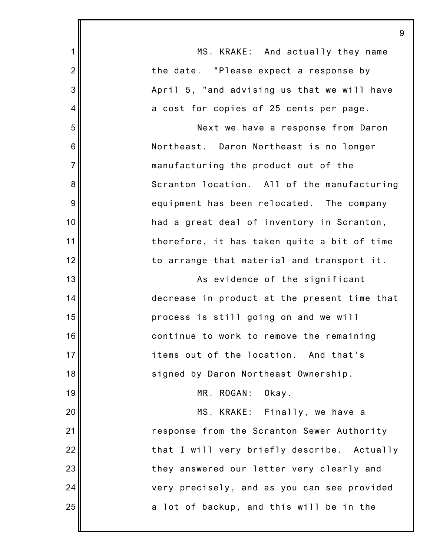| 1              | MS. KRAKE: And actually they name            |
|----------------|----------------------------------------------|
| $\overline{2}$ | the date. "Please expect a response by       |
| 3              | April 5, "and advising us that we will have  |
| 4              | a cost for copies of 25 cents per page.      |
| 5              | Next we have a response from Daron           |
| 6              | Northeast. Daron Northeast is no longer      |
| $\overline{7}$ | manufacturing the product out of the         |
| 8              | Scranton location. All of the manufacturing  |
| 9              | equipment has been relocated. The company    |
| 10             | had a great deal of inventory in Scranton,   |
| 11             | therefore, it has taken quite a bit of time  |
| 12             | to arrange that material and transport it.   |
| 13             | As evidence of the significant               |
| 14             | decrease in product at the present time that |
| 15             | process is still going on and we will        |
| 16             | continue to work to remove the remaining     |
| 17             | items out of the location. And that's        |
| 18             | signed by Daron Northeast Ownership.         |
| 19             | MR. ROGAN:<br>Okay.                          |
| 20             | MS. KRAKE: Finally, we have a                |
| 21             | response from the Scranton Sewer Authority   |
| 22             | that I will very briefly describe. Actually  |
| 23             | they answered our letter very clearly and    |
| 24             | very precisely, and as you can see provided  |
| 25             | a lot of backup, and this will be in the     |
|                |                                              |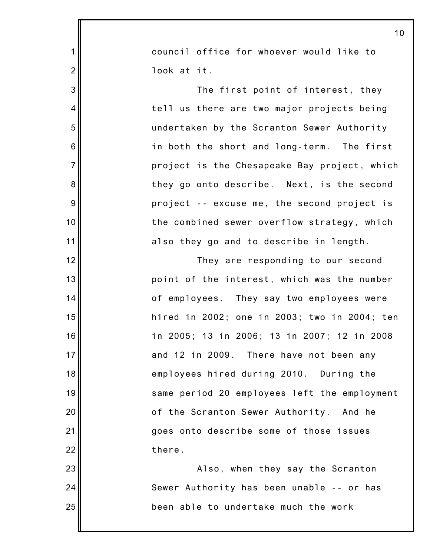|                | 10                                           |
|----------------|----------------------------------------------|
| 1              | council office for whoever would like to     |
| $\overline{c}$ | look at it.                                  |
| 3              | The first point of interest, they            |
| 4              | tell us there are two major projects being   |
| 5              | undertaken by the Scranton Sewer Authority   |
| 6              | in both the short and long-term. The first   |
| $\overline{7}$ | project is the Chesapeake Bay project, which |
| $\bf 8$        | they go onto describe. Next, is the second   |
| 9              | project -- excuse me, the second project is  |
| 10             | the combined sewer overflow strategy, which  |
| 11             | also they go and to describe in length.      |
| 12             | They are responding to our second            |
| 13             | point of the interest, which was the number  |
| 14             | of employees. They say two employees were    |
| 15             | hired in 2002; one in 2003; two in 2004; ten |
| 16             | in 2005; 13 in 2006; 13 in 2007; 12 in 2008  |
| 17             | and 12 in 2009. There have not been any      |
| 18             | employees hired during 2010. During the      |
| 19             | same period 20 employees left the employment |
| 20             | of the Scranton Sewer Authority. And he      |
| 21             | goes onto describe some of those issues      |
| 22             | there.                                       |
| 23             | Also, when they say the Scranton             |
| 24             | Sewer Authority has been unable -- or has    |
| 25             | been able to undertake much the work         |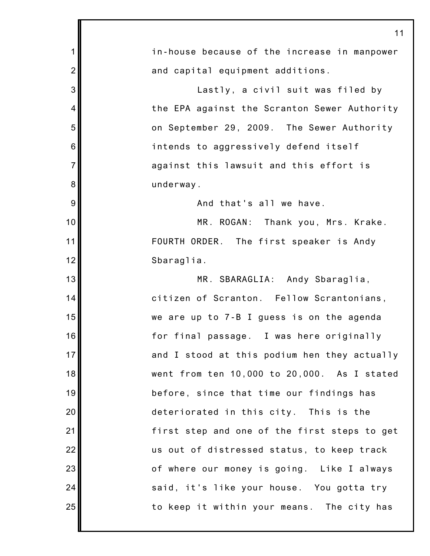|                | 11                                           |
|----------------|----------------------------------------------|
| 1              | in-house because of the increase in manpower |
| $\overline{2}$ | and capital equipment additions.             |
| 3              | Lastly, a civil suit was filed by            |
| $\overline{4}$ | the EPA against the Scranton Sewer Authority |
| 5              | on September 29, 2009. The Sewer Authority   |
| 6              | intends to aggressively defend itself        |
| $\overline{7}$ | against this lawsuit and this effort is      |
| 8              | underway.                                    |
| 9              | And that's all we have.                      |
| 10             | MR. ROGAN: Thank you, Mrs. Krake.            |
| 11             | FOURTH ORDER. The first speaker is Andy      |
| 12             | Sbaraglia.                                   |
| 13             | MR. SBARAGLIA: Andy Sbaraglia,               |
| 14             | citizen of Scranton. Fellow Scrantonians,    |
| 15             | we are up to 7-B I guess is on the agenda    |
| 16             | for final passage. I was here originally     |
| 17             | and I stood at this podium hen they actually |
| 18             | went from ten 10,000 to 20,000. As I stated  |
| 19             | before, since that time our findings has     |
| 20             | deteriorated in this city. This is the       |
| 21             | first step and one of the first steps to get |
| 22             | us out of distressed status, to keep track   |
| 23             | of where our money is going. Like I always   |
| 24             | said, it's like your house. You gotta try    |
| 25             | to keep it within your means. The city has   |
|                |                                              |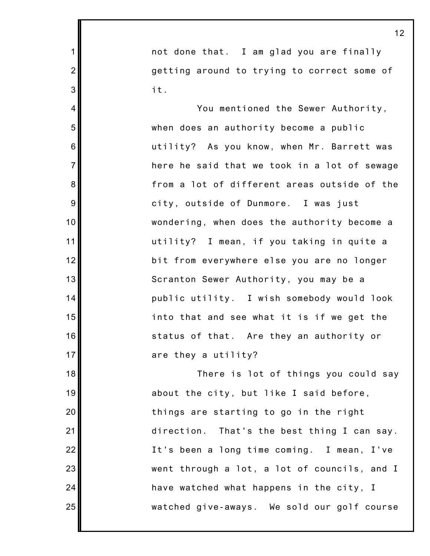not done that. I am glad you are finally getting around to trying to correct some of it.

1

2

3

4

5

6

7

8

9

10

11

12

13

14

15

16

17

18

19

20

21

22

23

24

25

You mentioned the Sewer Authority, when does an authority become a public utility? As you know, when Mr. Barrett was here he said that we took in a lot of sewage from a lot of different areas outside of the city, outside of Dunmore. I was just wondering, when does the authority become a utility? I mean, if you taking in quite a bit from everywhere else you are no longer Scranton Sewer Authority, you may be a public utility. I wish somebody would look into that and see what it is if we get the status of that. Are they an authority or are they a utility?

There is lot of things you could say about the city, but like I said before, things are starting to go in the right direction. That's the best thing I can say. It's been a long time coming. I mean, I've went through a lot, a lot of councils, and I have watched what happens in the city, I watched give-aways. We sold our golf course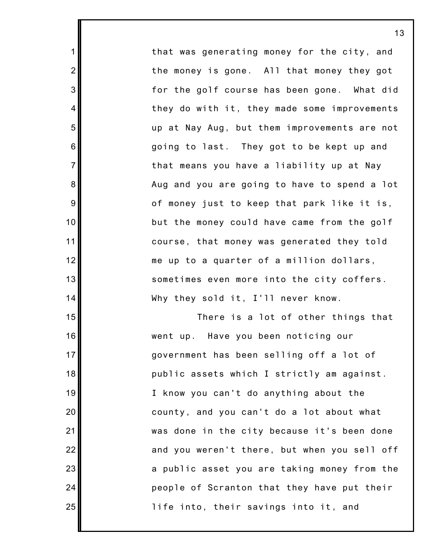that was generating money for the city, and the money is gone. All that money they got for the golf course has been gone. What did they do with it, they made some improvements up at Nay Aug, but them improvements are not going to last. They got to be kept up and that means you have a liability up at Nay Aug and you are going to have to spend a lot of money just to keep that park like it is, but the money could have came from the golf course, that money was generated they told me up to a quarter of a million dollars, sometimes even more into the city coffers. Why they sold it, I'll never know.

1

2

3

4

5

6

7

8

9

10

11

12

13

14

15

16

17

18

19

20

21

22

23

24

25

There is a lot of other things that went up. Have you been noticing our government has been selling off a lot of public assets which I strictly am against. I know you can't do anything about the county, and you can't do a lot about what was done in the city because it's been done and you weren't there, but when you sell off a public asset you are taking money from the people of Scranton that they have put their life into, their savings into it, and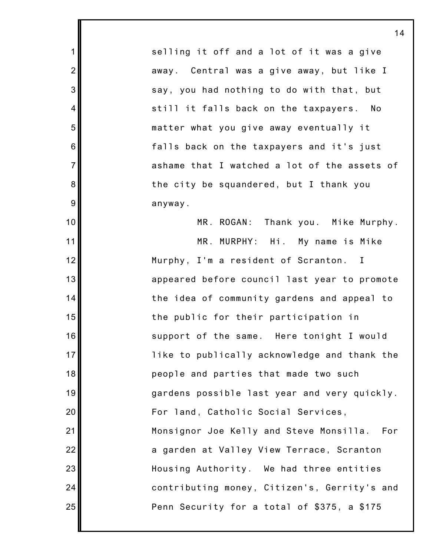selling it off and a lot of it was a give away. Central was a give away, but like I say, you had nothing to do with that, but still it falls back on the taxpayers. No matter what you give away eventually it falls back on the taxpayers and it's just ashame that I watched a lot of the assets of the city be squandered, but I thank you anyway.

1

2

3

4

5

6

7

8

9

10

11

12

13

14

15

16

17

18

19

20

21

22

23

24

25

MR. ROGAN: Thank you. Mike Murphy. MR. MURPHY: Hi. My name is Mike Murphy, I'm a resident of Scranton. I appeared before council last year to promote the idea of community gardens and appeal to the public for their participation in support of the same. Here tonight I would like to publically acknowledge and thank the people and parties that made two such gardens possible last year and very quickly. For land, Catholic Social Services, Monsignor Joe Kelly and Steve Monsilla. For a garden at Valley View Terrace, Scranton Housing Authority. We had three entities contributing money, Citizen's, Gerrity's and Penn Security for a total of \$375, a \$175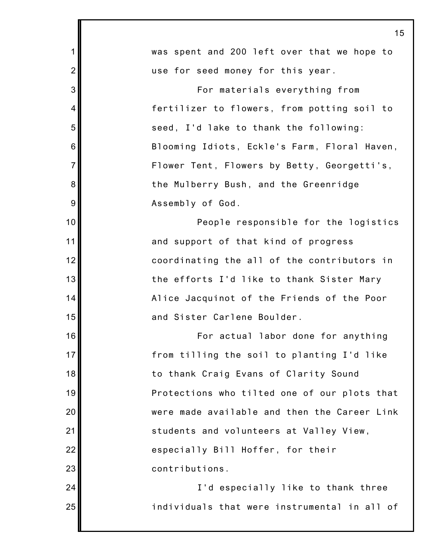|                | 15                                           |
|----------------|----------------------------------------------|
| 1              | was spent and 200 left over that we hope to  |
| $\overline{2}$ | use for seed money for this year.            |
| 3              | For materials everything from                |
| 4              | fertilizer to flowers, from potting soil to  |
| 5              | seed, I'd lake to thank the following:       |
| 6              | Blooming Idiots, Eckle's Farm, Floral Haven, |
| $\overline{7}$ | Flower Tent, Flowers by Betty, Georgetti's,  |
| 8              | the Mulberry Bush, and the Greenridge        |
| 9              | Assembly of God.                             |
| 10             | People responsible for the logistics         |
| 11             | and support of that kind of progress         |
| 12             | coordinating the all of the contributors in  |
| 13             | the efforts I'd like to thank Sister Mary    |
| 14             | Alice Jacquinot of the Friends of the Poor   |
| 15             | and Sister Carlene Boulder.                  |
| 16             | For actual labor done for anything           |
| 17             | from tilling the soil to planting I'd like   |
| 18             | to thank Craig Evans of Clarity Sound        |
| 19             | Protections who tilted one of our plots that |
| 20             | were made available and then the Career Link |
| 21             | students and volunteers at Valley View,      |
| 22             | especially Bill Hoffer, for their            |
| 23             | contributions.                               |
| 24             | I'd especially like to thank three           |
| 25             | individuals that were instrumental in all of |
|                |                                              |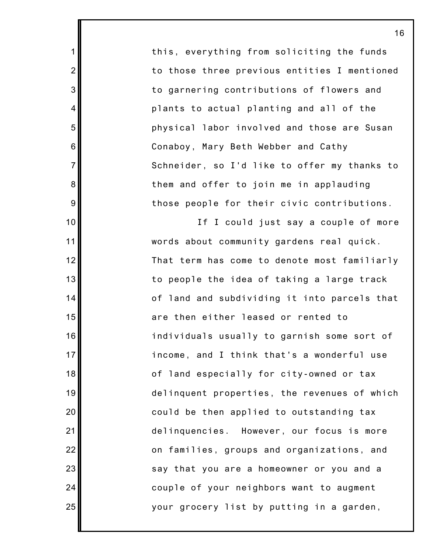this, everything from soliciting the funds to those three previous entities I mentioned to garnering contributions of flowers and plants to actual planting and all of the physical labor involved and those are Susan Conaboy, Mary Beth Webber and Cathy Schneider, so I'd like to offer my thanks to them and offer to join me in applauding those people for their civic contributions.

1

2

3

4

5

6

7

8

9

10

11

12

13

14

15

16

17

18

19

20

21

22

23

24

25

If I could just say a couple of more words about community gardens real quick. That term has come to denote most familiarly to people the idea of taking a large track of land and subdividing it into parcels that are then either leased or rented to individuals usually to garnish some sort of income, and I think that's a wonderful use of land especially for city-owned or tax delinquent properties, the revenues of which could be then applied to outstanding tax delinquencies. However, our focus is more on families, groups and organizations, and say that you are a homeowner or you and a couple of your neighbors want to augment your grocery list by putting in a garden,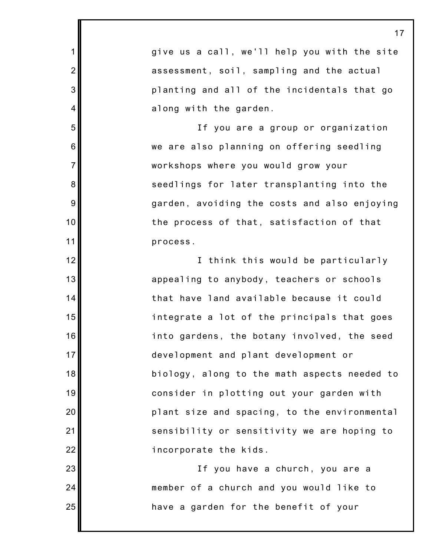1 2 3 4 5 6 7 8 9 10 11 12 13 14 15 16 17 18 19 20 21 22 23 24 25 give us a call, we'll help you with the site assessment, soil, sampling and the actual planting and all of the incidentals that go along with the garden. If you are a group or organization we are also planning on offering seedling workshops where you would grow your seedlings for later transplanting into the garden, avoiding the costs and also enjoying the process of that, satisfaction of that process. I think this would be particularly appealing to anybody, teachers or schools that have land available because it could integrate a lot of the principals that goes into gardens, the botany involved, the seed development and plant development or biology, along to the math aspects needed to consider in plotting out your garden with plant size and spacing, to the environmental sensibility or sensitivity we are hoping to incorporate the kids. If you have a church, you are a member of a church and you would like to have a garden for the benefit of your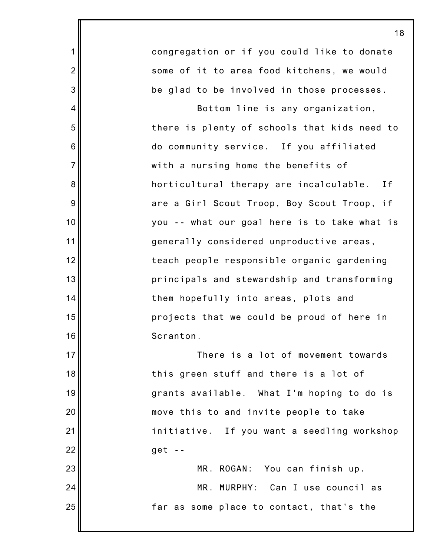1 2 3 4 5 6 7 8 9 10 11 12 13 14 15 16 17 18 19 20 21 22 23 24 25 congregation or if you could like to donate some of it to area food kitchens, we would be glad to be involved in those processes. Bottom line is any organization, there is plenty of schools that kids need to do community service. If you affiliated with a nursing home the benefits of horticultural therapy are incalculable. If are a Girl Scout Troop, Boy Scout Troop, if you -- what our goal here is to take what is generally considered unproductive areas, teach people responsible organic gardening principals and stewardship and transforming them hopefully into areas, plots and projects that we could be proud of here in Scranton. There is a lot of movement towards this green stuff and there is a lot of grants available. What I'm hoping to do is move this to and invite people to take initiative. If you want a seedling workshop get -- MR. ROGAN: You can finish up. MR. MURPHY: Can I use council as far as some place to contact, that's the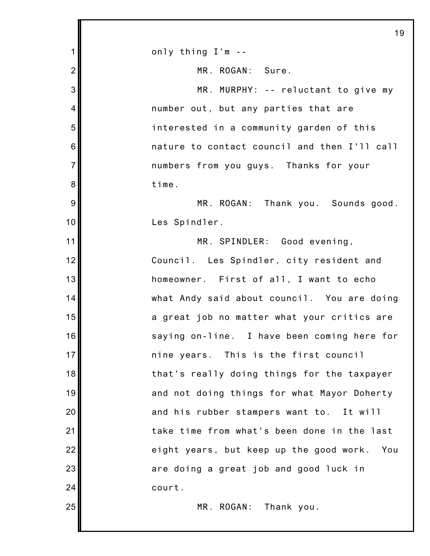|                | 19                                           |
|----------------|----------------------------------------------|
| 1              | only thing I'm --                            |
| $\overline{2}$ | MR. ROGAN: Sure.                             |
| 3              | MR. MURPHY: -- reluctant to give my          |
| $\overline{4}$ | number out, but any parties that are         |
| 5              | interested in a community garden of this     |
| 6              | nature to contact council and then I'll call |
| $\overline{7}$ | numbers from you guys. Thanks for your       |
| 8              | time.                                        |
| 9              | MR. ROGAN: Thank you. Sounds good.           |
| 10             | Les Spindler.                                |
| 11             | MR. SPINDLER: Good evening,                  |
| 12             | Council. Les Spindler, city resident and     |
| 13             | homeowner. First of all, I want to echo      |
| 14             | what Andy said about council. You are doing  |
| 15             | a great job no matter what your critics are  |
| 16             | saying on-line. I have been coming here for  |
| 17             | nine years. This is the first council        |
| 18             | that's really doing things for the taxpayer  |
| 19             | and not doing things for what Mayor Doherty  |
| 20             | and his rubber stampers want to. It will     |
| 21             | take time from what's been done in the last  |
| 22             | eight years, but keep up the good work. You  |
| 23             | are doing a great job and good luck in       |
| 24             | court.                                       |
| 25             | MR. ROGAN:<br>Thank you.                     |
|                |                                              |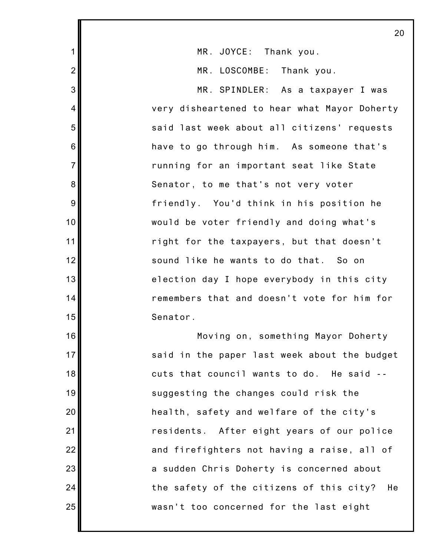|                | 20                                             |
|----------------|------------------------------------------------|
| 1              | MR. JOYCE: Thank you.                          |
| $\overline{2}$ | MR. LOSCOMBE: Thank you.                       |
| 3              | MR. SPINDLER: As a taxpayer I was              |
| 4              | very disheartened to hear what Mayor Doherty   |
| 5              | said last week about all citizens' requests    |
| 6              | have to go through him. As someone that's      |
| $\overline{7}$ | running for an important seat like State       |
| 8              | Senator, to me that's not very voter           |
| 9              | friendly. You'd think in his position he       |
| 10             | would be voter friendly and doing what's       |
| 11             | right for the taxpayers, but that doesn't      |
| 12             | sound like he wants to do that. So on          |
| 13             | election day I hope everybody in this city     |
| 14             | remembers that and doesn't vote for him for    |
| 15             | Senator.                                       |
| 16             | Moving on, something Mayor Doherty             |
| 17             | said in the paper last week about the budget   |
| 18             | cuts that council wants to do. He said --      |
| 19             | suggesting the changes could risk the          |
| 20             | health, safety and welfare of the city's       |
| 21             | residents. After eight years of our police     |
| 22             | and firefighters not having a raise, all of    |
| 23             | a sudden Chris Doherty is concerned about      |
| 24             | the safety of the citizens of this city?<br>He |
| 25             | wasn't too concerned for the last eight        |
|                |                                                |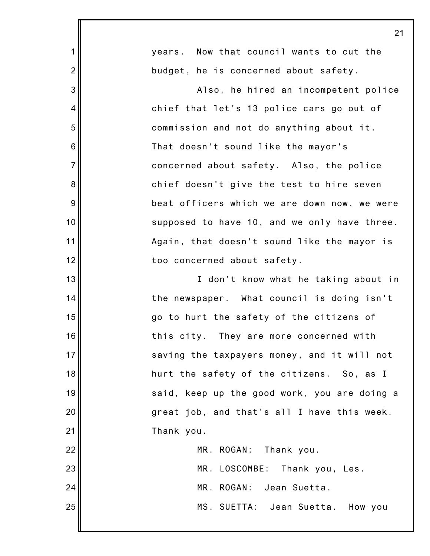|                          | 21                                           |
|--------------------------|----------------------------------------------|
| $\mathbf{1}$             | years. Now that council wants to cut the     |
| $\overline{2}$           | budget, he is concerned about safety.        |
| 3                        | Also, he hired an incompetent police         |
| $\overline{\mathcal{A}}$ | chief that let's 13 police cars go out of    |
| 5                        | commission and not do anything about it.     |
| 6                        | That doesn't sound like the mayor's          |
| $\overline{7}$           | concerned about safety. Also, the police     |
| 8                        | chief doesn't give the test to hire seven    |
| 9                        | beat officers which we are down now, we were |
| 10                       | supposed to have 10, and we only have three. |
| 11                       | Again, that doesn't sound like the mayor is  |
| 12                       | too concerned about safety.                  |
| 13                       | I don't know what he taking about in         |
| 14                       | the newspaper. What council is doing isn't   |
| 15                       | go to hurt the safety of the citizens of     |
| 16                       | this city. They are more concerned with      |
| 17                       | saving the taxpayers money, and it will not  |
| 18                       | hurt the safety of the citizens. So, as I    |
| 19                       | said, keep up the good work, you are doing a |
| 20                       | great job, and that's all I have this week.  |
| 21                       | Thank you.                                   |
| 22                       | MR. ROGAN:<br>Thank you.                     |
| 23                       | MR. LOSCOMBE:<br>Thank you, Les.             |
| 24                       | MR. ROGAN:<br>Jean Suetta.                   |
| 25                       | MS. SUETTA: Jean Suetta. How you             |
|                          |                                              |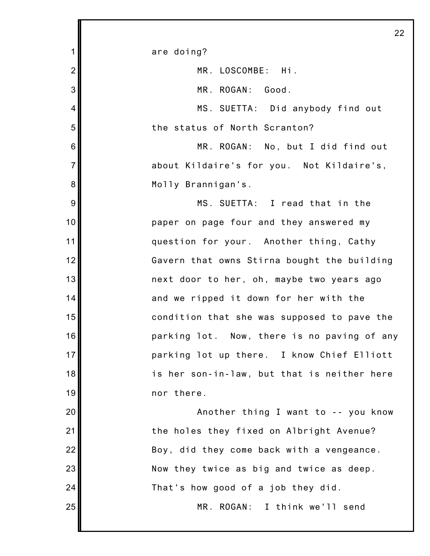1 2 3 4 5 6 7 8 9 10 11 12 13 14 15 16 17 18 19 20 21 22 23 24 25 22 are doing? MR. LOSCOMBE: Hi. MR. ROGAN: Good. MS. SUETTA: Did anybody find out the status of North Scranton? MR. ROGAN: No, but I did find out about Kildaire's for you. Not Kildaire's, Molly Brannigan's. MS. SUETTA: I read that in the paper on page four and they answered my question for your. Another thing, Cathy Gavern that owns Stirna bought the building next door to her, oh, maybe two years ago and we ripped it down for her with the condition that she was supposed to pave the parking lot. Now, there is no paving of any parking lot up there. I know Chief Elliott is her son-in-law, but that is neither here nor there. Another thing I want to -- you know the holes they fixed on Albright Avenue? Boy, did they come back with a vengeance. Now they twice as big and twice as deep. That's how good of a job they did. MR. ROGAN: I think we'll send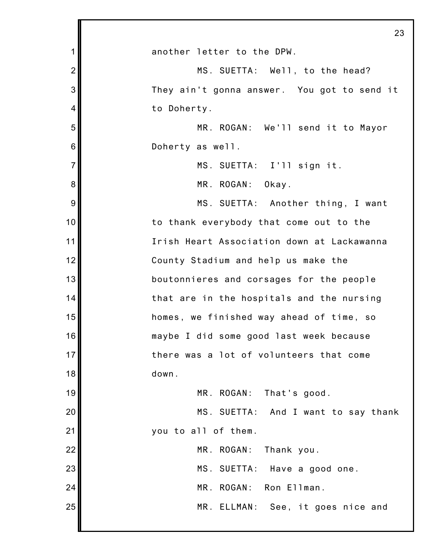|                | 23                                          |
|----------------|---------------------------------------------|
| 1              | another letter to the DPW.                  |
| $\overline{2}$ | MS. SUETTA: Well, to the head?              |
| 3              | They ain't gonna answer. You got to send it |
| 4              | to Doherty.                                 |
| 5              | MR. ROGAN: We'll send it to Mayor           |
| 6              | Doherty as well.                            |
| $\overline{7}$ | MS. SUETTA: I'll sign it.                   |
| 8              | MR. ROGAN: Okay.                            |
| 9              | MS. SUETTA: Another thing, I want           |
| 10             | to thank everybody that come out to the     |
| 11             | Irish Heart Association down at Lackawanna  |
| 12             | County Stadium and help us make the         |
| 13             | boutonnieres and corsages for the people    |
| 14             | that are in the hospitals and the nursing   |
| 15             | homes, we finished way ahead of time, so    |
| 16             | maybe I did some good last week because     |
| 17             | there was a lot of volunteers that come     |
| 18             | down.                                       |
| 19             | MR. ROGAN: That's good.                     |
| 20             | MS. SUETTA: And I want to say thank         |
| 21             | you to all of them.                         |
| 22             | MR. ROGAN:<br>Thank you.                    |
| 23             | MS. SUETTA: Have a good one.                |
| 24             | MR. ROGAN:<br>Ron Ellman.                   |
| 25             | MR. ELLMAN: See, it goes nice and           |
|                |                                             |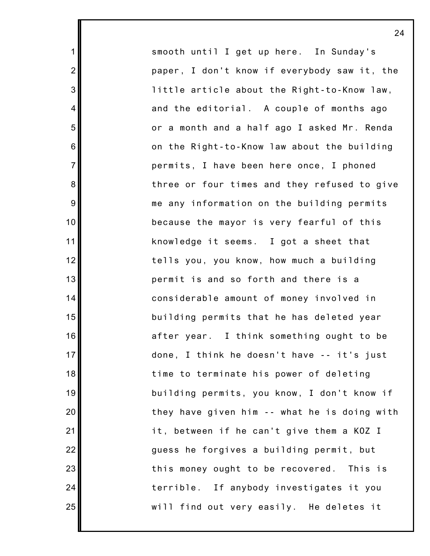smooth until I get up here. In Sunday's paper, I don't know if everybody saw it, the little article about the Right-to-Know law, and the editorial. A couple of months ago or a month and a half ago I asked Mr. Renda on the Right-to-Know law about the building permits, I have been here once, I phoned three or four times and they refused to give me any information on the building permits because the mayor is very fearful of this knowledge it seems. I got a sheet that tells you, you know, how much a building permit is and so forth and there is a considerable amount of money involved in building permits that he has deleted year after year. I think something ought to be done, I think he doesn't have -- it's just time to terminate his power of deleting building permits, you know, I don't know if they have given him -- what he is doing with it, between if he can't give them a KOZ I guess he forgives a building permit, but this money ought to be recovered. This is terrible. If anybody investigates it you will find out very easily. He deletes it

1

2

3

4

5

6

7

8

9

10

11

12

13

14

15

16

17

18

19

20

21

22

23

24

25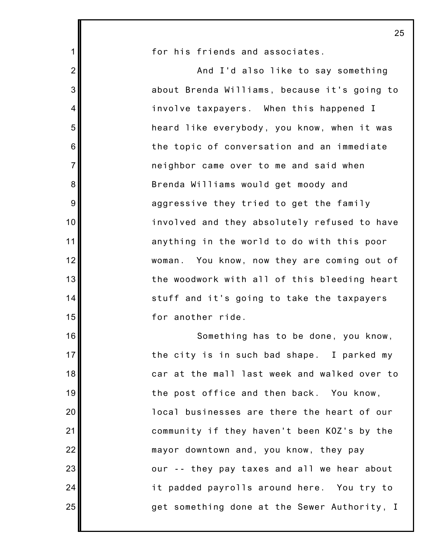1 2 3 4 5 6 7 8 9 10 11 12 13 14 15 16 17 18 19 20 21 22 23 24 for his friends and associates. And I'd also like to say something about Brenda Williams, because it's going to involve taxpayers. When this happened I heard like everybody, you know, when it was the topic of conversation and an immediate neighbor came over to me and said when Brenda Williams would get moody and aggressive they tried to get the family involved and they absolutely refused to have anything in the world to do with this poor woman. You know, now they are coming out of the woodwork with all of this bleeding heart stuff and it's going to take the taxpayers for another ride. Something has to be done, you know, the city is in such bad shape. I parked my car at the mall last week and walked over to the post office and then back. You know, local businesses are there the heart of our community if they haven't been KOZ's by the mayor downtown and, you know, they pay our -- they pay taxes and all we hear about it padded payrolls around here. You try to

get something done at the Sewer Authority, I

25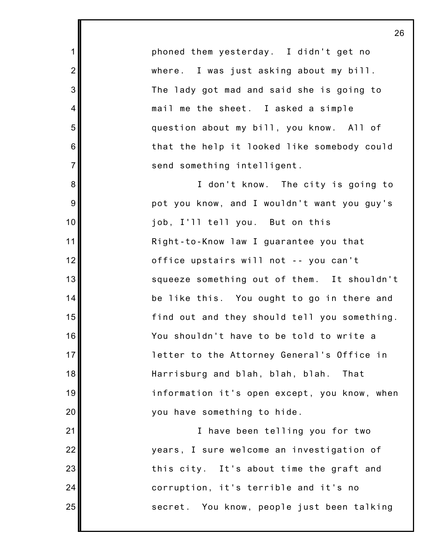phoned them yesterday. I didn't get no where. I was just asking about my bill. The lady got mad and said she is going to mail me the sheet. I asked a simple question about my bill, you know. All of that the help it looked like somebody could send something intelligent.

1

2

3

4

5

6

7

8

9

10

11

12

13

14

15

16

17

18

19

20

21

22

23

24

25

I don't know. The city is going to pot you know, and I wouldn't want you guy's job, I'll tell you. But on this Right-to-Know law I guarantee you that office upstairs will not -- you can't squeeze something out of them. It shouldn't be like this. You ought to go in there and find out and they should tell you something. You shouldn't have to be told to write a letter to the Attorney General's Office in Harrisburg and blah, blah, blah. That information it's open except, you know, when you have something to hide.

I have been telling you for two years, I sure welcome an investigation of this city. It's about time the graft and corruption, it's terrible and it's no secret. You know, people just been talking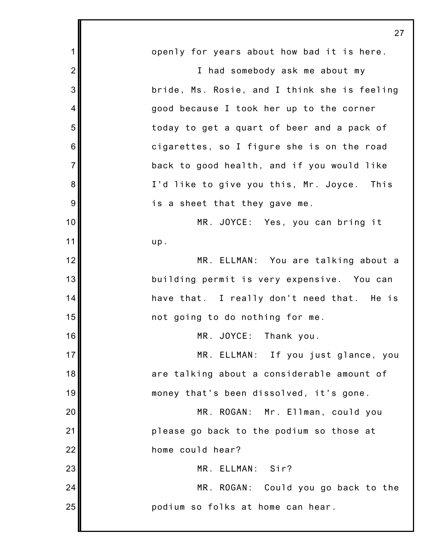|                | 27                                           |
|----------------|----------------------------------------------|
| 1              | openly for years about how bad it is here.   |
| $\overline{2}$ | I had somebody ask me about my               |
| 3              | bride, Ms. Rosie, and I think she is feeling |
| $\overline{4}$ | good because I took her up to the corner     |
| 5              | today to get a quart of beer and a pack of   |
| 6              | cigarettes, so I figure she is on the road   |
| $\overline{7}$ | back to good health, and if you would like   |
| 8              | I'd like to give you this, Mr. Joyce. This   |
| 9              | is a sheet that they gave me.                |
| 10             | MR. JOYCE: Yes, you can bring it             |
| 11             | up.                                          |
| 12             | MR. ELLMAN: You are talking about a          |
| 13             | building permit is very expensive. You can   |
| 14             | have that. I really don't need that. He is   |
| 15             | not going to do nothing for me.              |
| 16             | MR. JOYCE: Thank you.                        |
| 17             | MR. ELLMAN: If you just glance, you          |
| 18             | are talking about a considerable amount of   |
| 19             | money that's been dissolved, it's gone.      |
| 20             | MR. ROGAN: Mr. Ellman, could you             |
| 21             | please go back to the podium so those at     |
| 22             | home could hear?                             |
| 23             | MR. ELLMAN: Sir?                             |
| 24             | MR. ROGAN: Could you go back to the          |
| 25             | podium so folks at home can hear.            |
|                |                                              |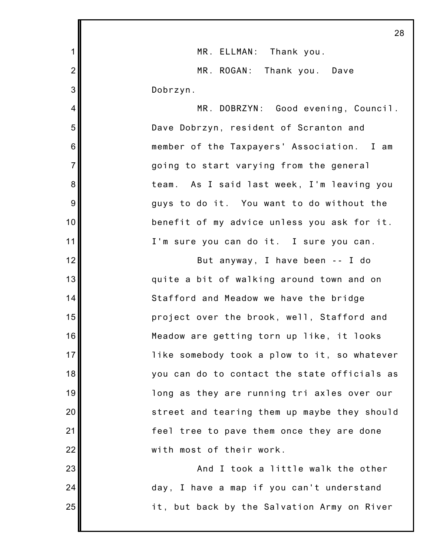|                | 28                                           |
|----------------|----------------------------------------------|
| 1              | MR. ELLMAN: Thank you.                       |
| $\overline{2}$ | MR. ROGAN: Thank you. Dave                   |
| 3              | Dobrzyn.                                     |
| 4              | MR. DOBRZYN: Good evening, Council.          |
| 5              | Dave Dobrzyn, resident of Scranton and       |
| 6              | member of the Taxpayers' Association. I am   |
| $\overline{7}$ | going to start varying from the general      |
| 8              | team. As I said last week, I'm leaving you   |
| 9              | guys to do it. You want to do without the    |
| 10             | benefit of my advice unless you ask for it.  |
| 11             | I'm sure you can do it. I sure you can.      |
| 12             | But anyway, I have been -- I do              |
| 13             | quite a bit of walking around town and on    |
| 14             | Stafford and Meadow we have the bridge       |
| 15             | project over the brook, well, Stafford and   |
| 16             | Meadow are getting torn up like, it looks    |
| 17             | like somebody took a plow to it, so whatever |
| 18             | you can do to contact the state officials as |
| 19             | long as they are running tri axles over our  |
| 20             | street and tearing them up maybe they should |
| 21             | feel tree to pave them once they are done    |
| 22             | with most of their work.                     |
| 23             | And I took a little walk the other           |
| 24             | day, I have a map if you can't understand    |
| 25             | it, but back by the Salvation Army on River  |
|                |                                              |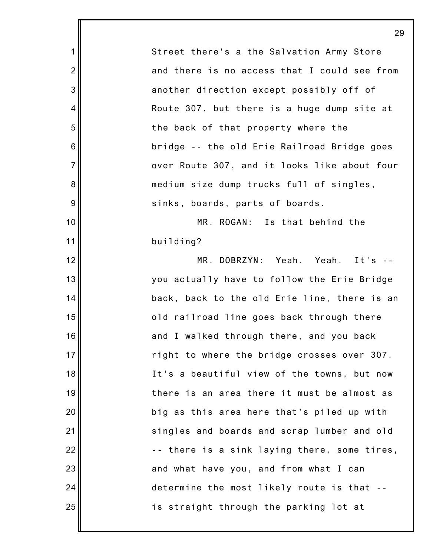Street there's a the Salvation Army Store and there is no access that I could see from another direction except possibly off of Route 307, but there is a huge dump site at the back of that property where the bridge -- the old Erie Railroad Bridge goes over Route 307, and it looks like about four medium size dump trucks full of singles, sinks, boards, parts of boards.

MR. ROGAN: Is that behind the building?

1

2

3

4

5

6

7

8

9

10

11

12

13

14

15

16

17

18

19

20

21

22

23

24

25

MR. DOBRZYN: Yeah. Yeah. It's - you actually have to follow the Erie Bridge back, back to the old Erie line, there is an old railroad line goes back through there and I walked through there, and you back right to where the bridge crosses over 307. It's a beautiful view of the towns, but now there is an area there it must be almost as big as this area here that's piled up with singles and boards and scrap lumber and old -- there is a sink laying there, some tires, and what have you, and from what I can determine the most likely route is that - is straight through the parking lot at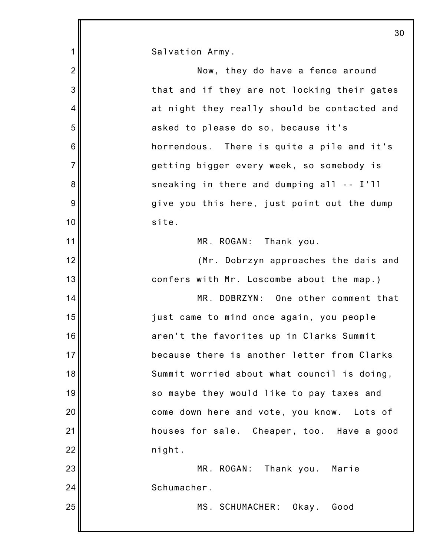Salvation Army.

1

2 3 4 5 6 7 8 9 10 11 12 13 14 15 16 17 18 19 20 21 22 23 24 25 Now, they do have a fence around that and if they are not locking their gates at night they really should be contacted and asked to please do so, because it's horrendous. There is quite a pile and it's getting bigger every week, so somebody is sneaking in there and dumping all -- I'll give you this here, just point out the dump site. MR. ROGAN: Thank you. (Mr. Dobrzyn approaches the dais and confers with Mr. Loscombe about the map.) MR. DOBRZYN: One other comment that just came to mind once again, you people aren't the favorites up in Clarks Summit because there is another letter from Clarks Summit worried about what council is doing, so maybe they would like to pay taxes and come down here and vote, you know. Lots of houses for sale. Cheaper, too. Have a good night. MR. ROGAN: Thank you. Marie Schumacher. MS. SCHUMACHER: Okay. Good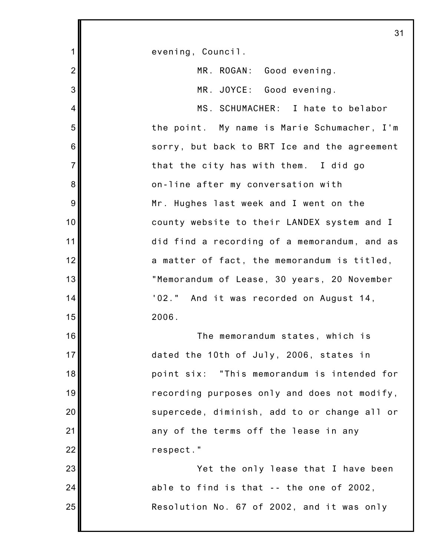1 2 3 4 5 6 7 8 9 10 11 12 13 14 15 16 17 18 19 20 21 22 23 24 25 31 evening, Council. MR. ROGAN: Good evening. MR. JOYCE: Good evening. MS. SCHUMACHER: I hate to belabor the point. My name is Marie Schumacher, I'm sorry, but back to BRT Ice and the agreement that the city has with them. I did go on-line after my conversation with Mr. Hughes last week and I went on the county website to their LANDEX system and I did find a recording of a memorandum, and as a matter of fact, the memorandum is titled, "Memorandum of Lease, 30 years, 20 November '02." And it was recorded on August 14, 2006. The memorandum states, which is dated the 10th of July, 2006, states in point six: "This memorandum is intended for recording purposes only and does not modify, supercede, diminish, add to or change all or any of the terms off the lease in any respect." Yet the only lease that I have been able to find is that -- the one of 2002, Resolution No. 67 of 2002, and it was only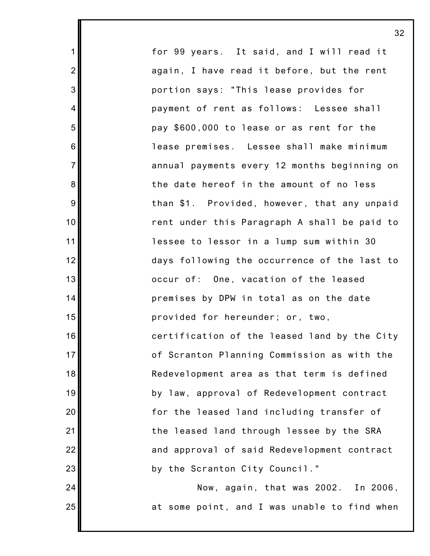for 99 years. It said, and I will read it again, I have read it before, but the rent portion says: "This lease provides for payment of rent as follows: Lessee shall pay \$600,000 to lease or as rent for the lease premises. Lessee shall make minimum annual payments every 12 months beginning on the date hereof in the amount of no less than \$1. Provided, however, that any unpaid rent under this Paragraph A shall be paid to lessee to lessor in a lump sum within 30 days following the occurrence of the last to occur of: One, vacation of the leased premises by DPW in total as on the date provided for hereunder; or, two, certification of the leased land by the City of Scranton Planning Commission as with the Redevelopment area as that term is defined by law, approval of Redevelopment contract for the leased land including transfer of the leased land through lessee by the SRA and approval of said Redevelopment contract by the Scranton City Council."

1

2

3

4

5

6

7

8

9

10

11

12

13

14

15

16

17

18

19

20

21

22

23

24

25

Now, again, that was 2002. In 2006, at some point, and I was unable to find when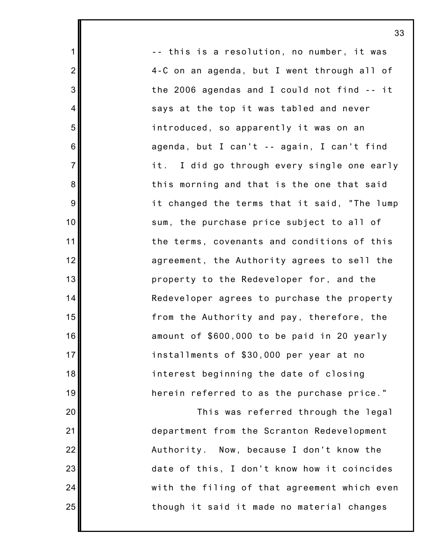-- this is a resolution, no number, it was 4-C on an agenda, but I went through all of the 2006 agendas and I could not find -- it says at the top it was tabled and never introduced, so apparently it was on an agenda, but I can't -- again, I can't find it. I did go through every single one early this morning and that is the one that said it changed the terms that it said, "The lump sum, the purchase price subject to all of the terms, covenants and conditions of this agreement, the Authority agrees to sell the property to the Redeveloper for, and the Redeveloper agrees to purchase the property from the Authority and pay, therefore, the amount of \$600,000 to be paid in 20 yearly installments of \$30,000 per year at no interest beginning the date of closing herein referred to as the purchase price."

1

2

3

4

5

6

7

8

9

10

11

12

13

14

15

16

17

18

19

20

21

22

23

24

25

This was referred through the legal department from the Scranton Redevelopment Authority. Now, because I don't know the date of this, I don't know how it coincides with the filing of that agreement which even though it said it made no material changes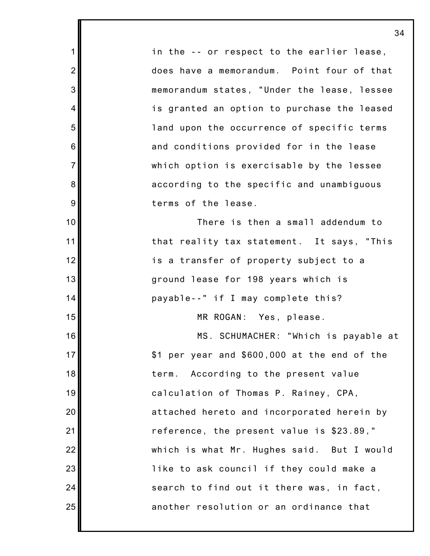in the -- or respect to the earlier lease, does have a memorandum. Point four of that memorandum states, "Under the lease, lessee is granted an option to purchase the leased land upon the occurrence of specific terms and conditions provided for in the lease which option is exercisable by the lessee according to the specific and unambiguous terms of the lease. There is then a small addendum to

1

2

3

4

5

6

7

8

9

10

11

12

13

14

15

16

17

18

19

20

21

22

23

24

25

that reality tax statement. It says, "This is a transfer of property subject to a ground lease for 198 years which is payable--" if I may complete this?

MR ROGAN: Yes, please.

MS. SCHUMACHER: "Which is payable at \$1 per year and \$600,000 at the end of the term. According to the present value calculation of Thomas P. Rainey, CPA, attached hereto and incorporated herein by reference, the present value is \$23.89," which is what Mr. Hughes said. But I would like to ask council if they could make a search to find out it there was, in fact, another resolution or an ordinance that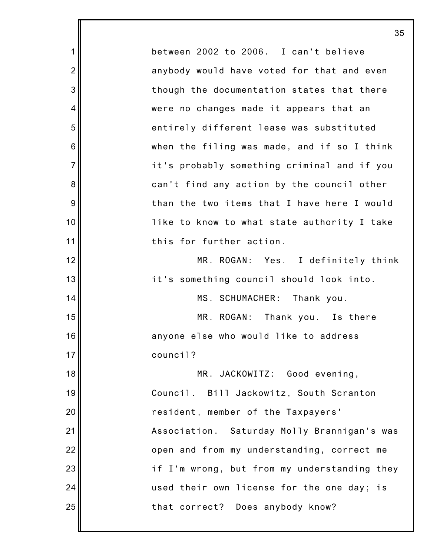1 2 3 4 5 6 7 8 9 10 11 12 13 14 15 16 17 18 19 20 21 22 23 24 25 between 2002 to 2006. I can't believe anybody would have voted for that and even though the documentation states that there were no changes made it appears that an entirely different lease was substituted when the filing was made, and if so I think it's probably something criminal and if you can't find any action by the council other than the two items that I have here I would like to know to what state authority I take this for further action. MR. ROGAN: Yes. I definitely think it's something council should look into. MS. SCHUMACHER: Thank you. MR. ROGAN: Thank you. Is there anyone else who would like to address council? MR. JACKOWITZ: Good evening, Council. Bill Jackowitz, South Scranton resident, member of the Taxpayers' Association. Saturday Molly Brannigan's was open and from my understanding, correct me if I'm wrong, but from my understanding they used their own license for the one day; is that correct? Does anybody know?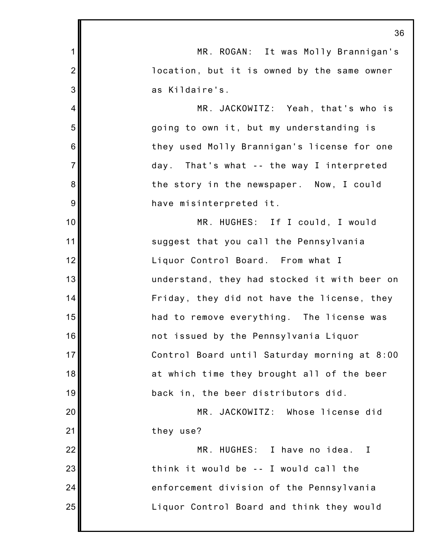|                | 36                                           |
|----------------|----------------------------------------------|
| 1              | MR. ROGAN: It was Molly Brannigan's          |
| $\overline{2}$ | location, but it is owned by the same owner  |
| 3              | as Kildaire's.                               |
| 4              | MR. JACKOWITZ: Yeah, that's who is           |
| 5              | going to own it, but my understanding is     |
| 6              | they used Molly Brannigan's license for one  |
| $\overline{7}$ | day. That's what -- the way I interpreted    |
| 8              | the story in the newspaper. Now, I could     |
| 9              | have misinterpreted it.                      |
| 10             | MR. HUGHES: If I could, I would              |
| 11             | suggest that you call the Pennsylvania       |
| 12             | Liquor Control Board. From what I            |
| 13             | understand, they had stocked it with beer on |
| 14             | Friday, they did not have the license, they  |
| 15             | had to remove everything. The license was    |
| 16             | not issued by the Pennsylvania Liquor        |
| 17             | Control Board until Saturday morning at 8:00 |
| 18             | at which time they brought all of the beer   |
| 19             | back in, the beer distributors did.          |
| 20             | MR. JACKOWITZ: Whose license did             |
| 21             | they use?                                    |
| 22             | MR. HUGHES: I have no idea.<br>$\mathbf{I}$  |
| 23             | think it would be -- I would call the        |
| 24             | enforcement division of the Pennsylvania     |
| 25             | Liquor Control Board and think they would    |
|                |                                              |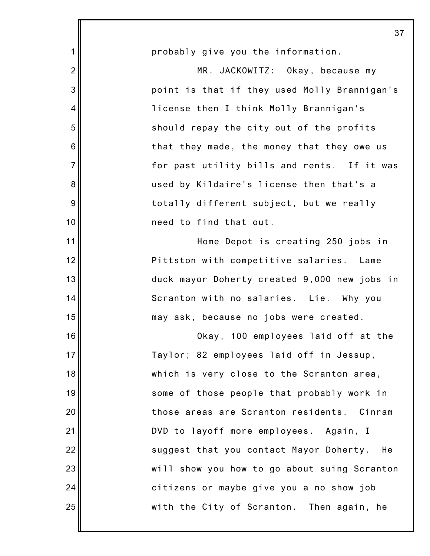|                  | 37                                            |
|------------------|-----------------------------------------------|
| $\mathbf 1$      | probably give you the information.            |
| $\overline{2}$   | MR. JACKOWITZ: Okay, because my               |
| $\mathbf{3}$     | point is that if they used Molly Brannigan's  |
| 4                | license then I think Molly Brannigan's        |
| 5                | should repay the city out of the profits      |
| $\,6$            | that they made, the money that they owe us    |
| $\overline{7}$   | for past utility bills and rents. If it was   |
| $\bf 8$          | used by Kildaire's license then that's a      |
| $\boldsymbol{9}$ | totally different subject, but we really      |
| 10               | need to find that out.                        |
| 11               | Home Depot is creating 250 jobs in            |
| 12               | Pittston with competitive salaries. Lame      |
| 13               | duck mayor Doherty created 9,000 new jobs in  |
| 14               | Scranton with no salaries. Lie. Why you       |
| 15               | may ask, because no jobs were created.        |
| 16               | Okay, 100 employees laid off at the           |
| 17               | Taylor; 82 employees laid off in Jessup,      |
| 18               | which is very close to the Scranton area,     |
| 19               | some of those people that probably work in    |
| 20               | those areas are Scranton residents. Cinram    |
| 21               | DVD to layoff more employees. Again, I        |
| 22               | suggest that you contact Mayor Doherty.<br>He |
| 23               | will show you how to go about suing Scranton  |
| 24               | citizens or maybe give you a no show job      |
| 25               | with the City of Scranton. Then again, he     |
|                  |                                               |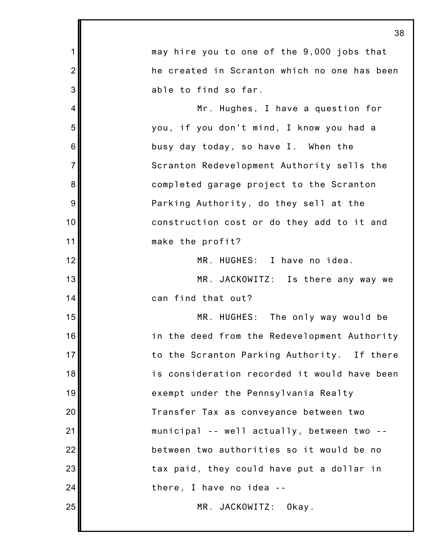|                | 38                                           |
|----------------|----------------------------------------------|
| 1              | may hire you to one of the 9,000 jobs that   |
| $\overline{2}$ | he created in Scranton which no one has been |
| 3              | able to find so far.                         |
| 4              | Mr. Hughes, I have a question for            |
| 5              | you, if you don't mind, I know you had a     |
| 6              | busy day today, so have I. When the          |
| $\overline{7}$ | Scranton Redevelopment Authority sells the   |
| 8              | completed garage project to the Scranton     |
| 9              | Parking Authority, do they sell at the       |
| 10             | construction cost or do they add to it and   |
| 11             | make the profit?                             |
| 12             | MR. HUGHES: I have no idea.                  |
| 13             | MR. JACKOWITZ: Is there any way we           |
| 14             | can find that out?                           |
| 15             | MR. HUGHES: The only way would be            |
| 16             | in the deed from the Redevelopment Authority |
| 17             | to the Scranton Parking Authority. If there  |
| 18             | is consideration recorded it would have been |
| 19             | exempt under the Pennsylvania Realty         |
| 20             | Transfer Tax as conveyance between two       |
| 21             | municipal -- well actually, between two --   |
| 22             | between two authorities so it would be no    |
| 23             | tax paid, they could have put a dollar in    |
| 24             | there, I have no idea --                     |
| 25             | MR. JACKOWITZ: Okay.                         |
|                |                                              |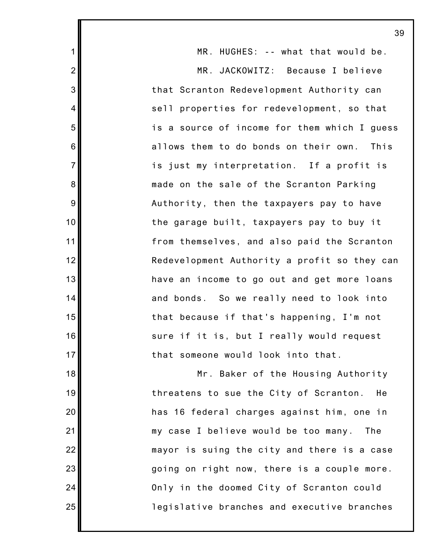| $\mathbf{1}$    | MR. HUGHES: -- what that would be.            |
|-----------------|-----------------------------------------------|
| $\overline{2}$  | MR. JACKOWITZ: Because I believe              |
| 3               | that Scranton Redevelopment Authority can     |
| 4               | sell properties for redevelopment, so that    |
| 5               | is a source of income for them which I guess  |
| $6\phantom{1}6$ | allows them to do bonds on their own.<br>This |
| $\overline{7}$  | is just my interpretation. If a profit is     |
| 8               | made on the sale of the Scranton Parking      |
| $9\,$           | Authority, then the taxpayers pay to have     |
| 10              | the garage built, taxpayers pay to buy it     |
| 11              | from themselves, and also paid the Scranton   |
| 12              | Redevelopment Authority a profit so they can  |
| 13              | have an income to go out and get more loans   |
| 14              | and bonds. So we really need to look into     |
| 15              | that because if that's happening, I'm not     |
| 16              | sure if it is, but I really would request     |
| 17 <sub>l</sub> | that someone would look into that.            |
| 18              | Mr. Baker of the Housing Authority            |
| 19              | threatens to sue the City of Scranton.<br>He  |
| 20              | has 16 federal charges against him, one in    |
| 21              | my case I believe would be too many.<br>The   |
| 22              | mayor is suing the city and there is a case   |
| 23              | going on right now, there is a couple more.   |
| 24              | Only in the doomed City of Scranton could     |
| 25              | legislative branches and executive branches   |

Ш

I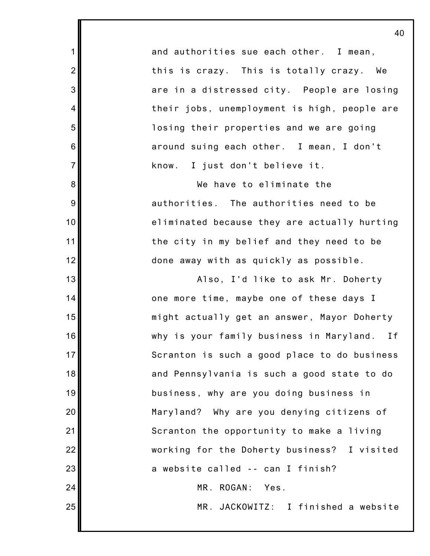and authorities sue each other. I mean, this is crazy. This is totally crazy. We are in a distressed city. People are losing their jobs, unemployment is high, people are losing their properties and we are going around suing each other. I mean, I don't know. I just don't believe it.

1

2

3

4

5

6

7

8

9

10

11

12

13

14

15

16

17

18

19

20

21

22

23

24

25

We have to eliminate the authorities. The authorities need to be eliminated because they are actually hurting the city in my belief and they need to be done away with as quickly as possible.

Also, I'd like to ask Mr. Doherty one more time, maybe one of these days I might actually get an answer, Mayor Doherty why is your family business in Maryland. If Scranton is such a good place to do business and Pennsylvania is such a good state to do business, why are you doing business in Maryland? Why are you denying citizens of Scranton the opportunity to make a living working for the Doherty business? I visited a website called -- can I finish? MR. ROGAN: Yes. MR. JACKOWITZ: I finished a website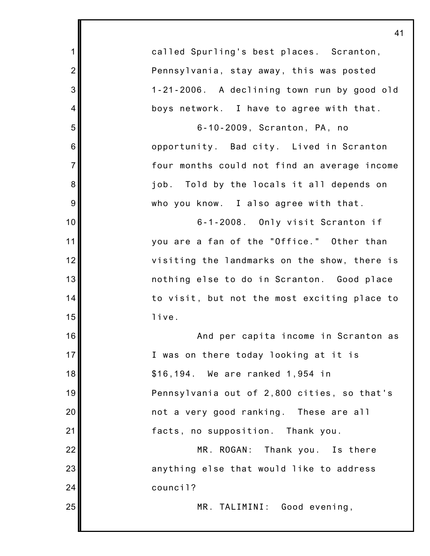|                | 41                                           |
|----------------|----------------------------------------------|
| 1              | called Spurling's best places. Scranton,     |
| $\overline{2}$ | Pennsylvania, stay away, this was posted     |
| 3              | 1-21-2006. A declining town run by good old  |
| 4              | boys network. I have to agree with that.     |
| 5              | 6-10-2009, Scranton, PA, no                  |
| 6              | opportunity. Bad city. Lived in Scranton     |
| $\overline{7}$ | four months could not find an average income |
| 8              | job. Told by the locals it all depends on    |
| 9              | who you know. I also agree with that.        |
| 10             | 6-1-2008. Only visit Scranton if             |
| 11             | you are a fan of the "Office." Other than    |
| 12             | visiting the landmarks on the show, there is |
| 13             | nothing else to do in Scranton. Good place   |
| 14             | to visit, but not the most exciting place to |
| 15             | live.                                        |
| 16             | And per capita income in Scranton as         |
| 17             | I was on there today looking at it is        |
| 18             | \$16,194. We are ranked 1,954 in             |
| 19             | Pennsylvania out of 2,800 cities, so that's  |
| 20             | not a very good ranking. These are all       |
| 21             | facts, no supposition. Thank you.            |
| 22             | MR. ROGAN:<br>Thank you. Is there            |
| 23             | anything else that would like to address     |
| 24             | council?                                     |
| 25             | MR. TALIMINI:<br>Good evening,               |
|                |                                              |

Π

П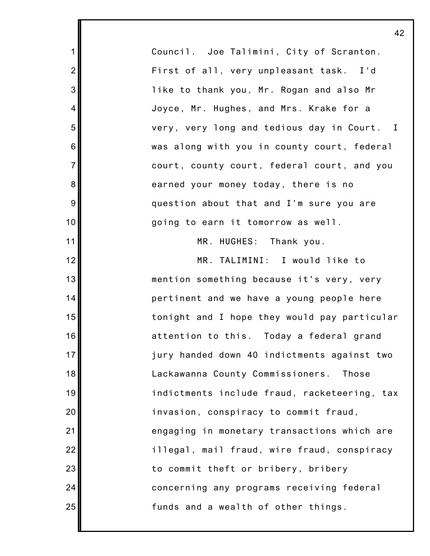Council. Joe Talimini, City of Scranton. First of all, very unpleasant task. I'd like to thank you, Mr. Rogan and also Mr Joyce, Mr. Hughes, and Mrs. Krake for a very, very long and tedious day in Court. I was along with you in county court, federal court, county court, federal court, and you earned your money today, there is no question about that and I'm sure you are going to earn it tomorrow as well.

42

1

2

3

4

5

6

7

8

9

10

11

12

13

14

15

16

17

18

19

20

21

22

23

24

25

MR. HUGHES: Thank you.

MR. TALIMINI: I would like to mention something because it's very, very pertinent and we have a young people here tonight and I hope they would pay particular attention to this. Today a federal grand jury handed down 40 indictments against two Lackawanna County Commissioners. Those indictments include fraud, racketeering, tax invasion, conspiracy to commit fraud, engaging in monetary transactions which are illegal, mail fraud, wire fraud, conspiracy to commit theft or bribery, bribery concerning any programs receiving federal funds and a wealth of other things.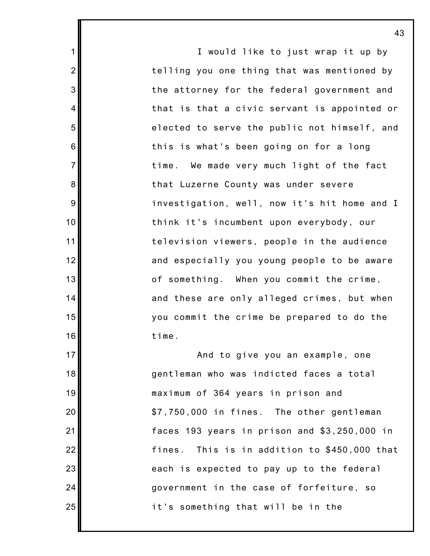I would like to just wrap it up by telling you one thing that was mentioned by the attorney for the federal government and that is that a civic servant is appointed or elected to serve the public not himself, and this is what's been going on for a long time. We made very much light of the fact that Luzerne County was under severe investigation, well, now it's hit home and I think it's incumbent upon everybody, our television viewers, people in the audience and especially you young people to be aware of something. When you commit the crime, and these are only alleged crimes, but when you commit the crime be prepared to do the time. And to give you an example, one gentleman who was indicted faces a total

1

2

3

4

5

6

7

8

9

10

11

12

13

14

15

16

17

18

19

20

21

22

23

24

25

maximum of 364 years in prison and \$7,750,000 in fines. The other gentleman faces 193 years in prison and \$3,250,000 in fines. This is in addition to \$450,000 that each is expected to pay up to the federal government in the case of forfeiture, so it's something that will be in the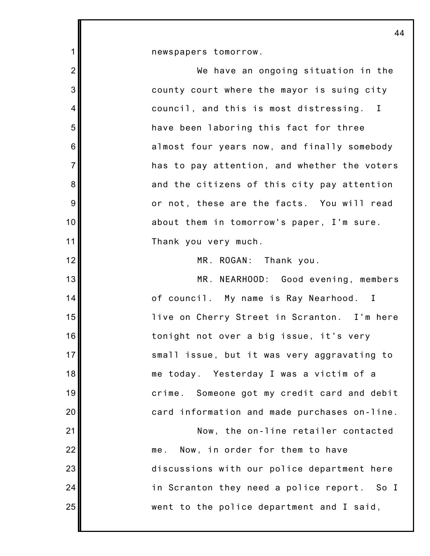newspapers tomorrow.

1

2

3

4

5

6

7

8

9

10

11

12

13

14

15

16

17

18

19

20

21

22

23

24

25

We have an ongoing situation in the county court where the mayor is suing city council, and this is most distressing. I have been laboring this fact for three almost four years now, and finally somebody has to pay attention, and whether the voters and the citizens of this city pay attention or not, these are the facts. You will read about them in tomorrow's paper, I'm sure. Thank you very much. MR. ROGAN: Thank you. MR. NEARHOOD: Good evening, members of council. My name is Ray Nearhood. I live on Cherry Street in Scranton. I'm here tonight not over a big issue, it's very small issue, but it was very aggravating to me today. Yesterday I was a victim of a crime. Someone got my credit card and debit

Now, the on-line retailer contacted me. Now, in order for them to have discussions with our police department here in Scranton they need a police report. So I went to the police department and I said,

card information and made purchases on-line.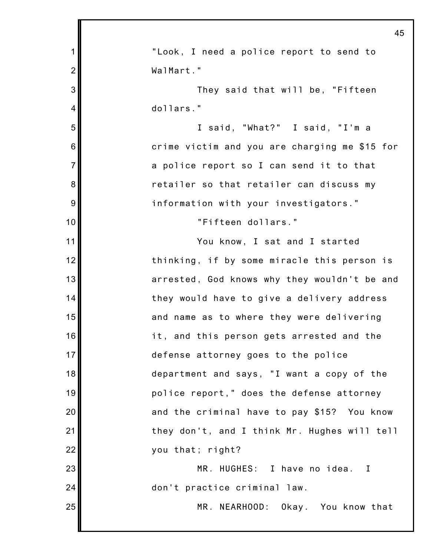|                 | 45                                            |
|-----------------|-----------------------------------------------|
| $\mathbf 1$     | "Look, I need a police report to send to      |
| $\overline{2}$  | WalMart."                                     |
| 3               | They said that will be, "Fifteen              |
| $\overline{4}$  | dollars."                                     |
| 5               | I said, "What?" I said, "I'm a                |
| $6\phantom{1}6$ | crime victim and you are charging me \$15 for |
| $\overline{7}$  | a police report so I can send it to that      |
| 8               | retailer so that retailer can discuss my      |
| 9               | information with your investigators."         |
| 10              | "Fifteen dollars."                            |
| 11              | You know, I sat and I started                 |
| 12              | thinking, if by some miracle this person is   |
| 13              | arrested, God knows why they wouldn't be and  |
| 14              | they would have to give a delivery address    |
| 15              | and name as to where they were delivering     |
| 16              | it, and this person gets arrested and the     |
| 17              | defense attorney goes to the police           |
| 18              | department and says, "I want a copy of the    |
| 19              | police report," does the defense attorney     |
| 20              | and the criminal have to pay \$15? You know   |
| 21              | they don't, and I think Mr. Hughes will tell  |
| 22              | you that; right?                              |
| 23              | MR. HUGHES: I have no idea. I                 |
| 24              | don't practice criminal law.                  |
| 25              | MR. NEARHOOD: Okay. You know that             |
|                 |                                               |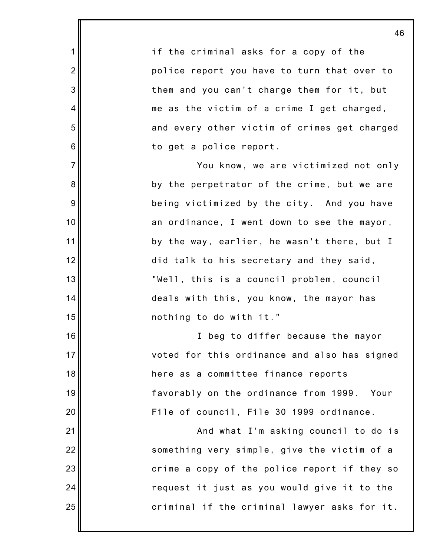if the criminal asks for a copy of the police report you have to turn that over to them and you can't charge them for it, but me as the victim of a crime I get charged, and every other victim of crimes get charged to get a police report.

1

2

3

4

5

6

7

8

9

10

11

12

13

14

15

16

17

18

19

20

21

22

23

24

25

You know, we are victimized not only by the perpetrator of the crime, but we are being victimized by the city. And you have an ordinance, I went down to see the mayor, by the way, earlier, he wasn't there, but I did talk to his secretary and they said, "Well, this is a council problem, council deals with this, you know, the mayor has nothing to do with it."

I beg to differ because the mayor voted for this ordinance and also has signed here as a committee finance reports favorably on the ordinance from 1999. Your File of council, File 30 1999 ordinance.

And what I'm asking council to do is something very simple, give the victim of a crime a copy of the police report if they so request it just as you would give it to the criminal if the criminal lawyer asks for it.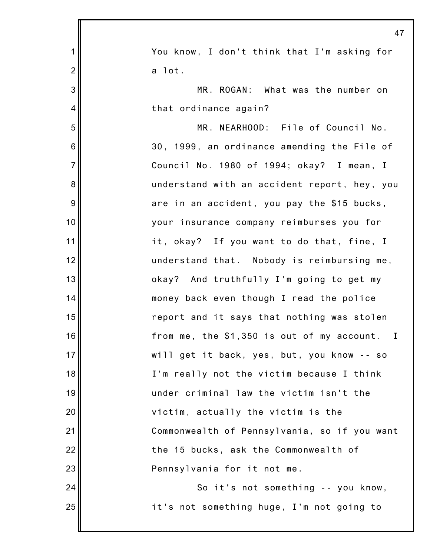| 1              | You know, I don't think that I'm asking for  |
|----------------|----------------------------------------------|
| $\overline{2}$ | a lot.                                       |
| 3              | MR. ROGAN: What was the number on            |
| 4              | that ordinance again?                        |
| 5              | MR. NEARHOOD: File of Council No.            |
| 6              | 30, 1999, an ordinance amending the File of  |
| $\overline{7}$ | Council No. 1980 of 1994; okay? I mean, I    |
| 8              | understand with an accident report, hey, you |
| 9              | are in an accident, you pay the \$15 bucks,  |
| 10             | your insurance company reimburses you for    |
| 11             | it, okay? If you want to do that, fine, I    |
| 12             | understand that. Nobody is reimbursing me,   |
| 13             | okay? And truthfully I'm going to get my     |
| 14             | money back even though I read the police     |
| 15             | report and it says that nothing was stolen   |
| 16             | from me, the \$1,350 is out of my account. I |
| 17             | will get it back, yes, but, you know -- so   |
| 18             | I'm really not the victim because I think    |
| 19             | under criminal law the victim isn't the      |
| 20             | victim, actually the victim is the           |
| 21             | Commonwealth of Pennsylvania, so if you want |
| 22             | the 15 bucks, ask the Commonwealth of        |
| 23             | Pennsylvania for it not me.                  |
| 24             | So it's not something -- you know,           |
| 25             | it's not something huge, I'm not going to    |
|                |                                              |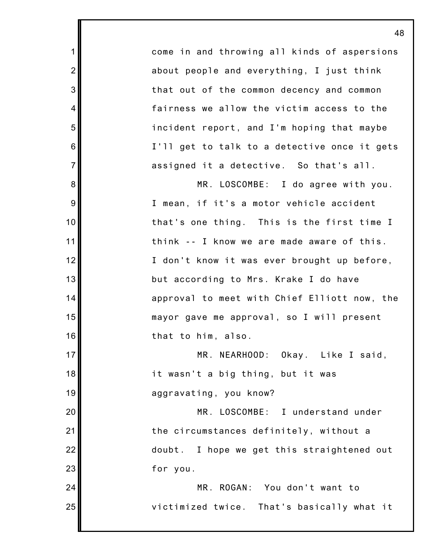come in and throwing all kinds of aspersions about people and everything, I just think that out of the common decency and common fairness we allow the victim access to the incident report, and I'm hoping that maybe I'll get to talk to a detective once it gets assigned it a detective. So that's all.

1

2

3

4

5

6

7

8

9

10

11

12

13

14

15

16

17

18

19

20

21

22

23

24

25

MR. LOSCOMBE: I do agree with you. I mean, if it's a motor vehicle accident that's one thing. This is the first time I think -- I know we are made aware of this. I don't know it was ever brought up before, but according to Mrs. Krake I do have approval to meet with Chief Elliott now, the mayor gave me approval, so I will present that to him, also.

MR. NEARHOOD: Okay. Like I said, it wasn't a big thing, but it was aggravating, you know?

MR. LOSCOMBE: I understand under the circumstances definitely, without a doubt. I hope we get this straightened out for you.

MR. ROGAN: You don't want to victimized twice. That's basically what it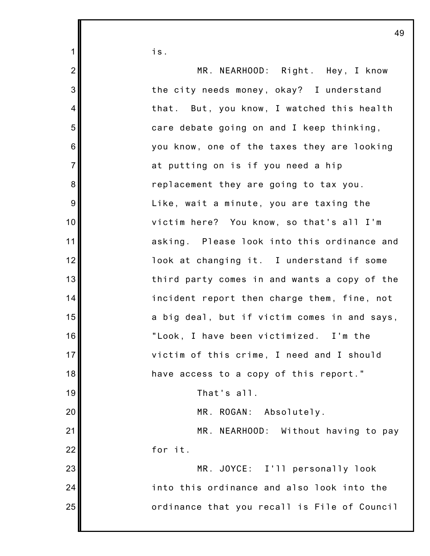is.

1

| $\overline{2}$ | MR. NEARHOOD: Right. Hey, I know             |
|----------------|----------------------------------------------|
| 3              | the city needs money, okay? I understand     |
| 4              | that. But, you know, I watched this health   |
| 5              | care debate going on and I keep thinking,    |
| 6              | you know, one of the taxes they are looking  |
| $\overline{7}$ | at putting on is if you need a hip           |
| 8              | replacement they are going to tax you.       |
| 9              | Like, wait a minute, you are taxing the      |
| 10             | victim here? You know, so that's all I'm     |
| 11             | asking. Please look into this ordinance and  |
| 12             | look at changing it. I understand if some    |
| 13             | third party comes in and wants a copy of the |
| 14             | incident report then charge them, fine, not  |
| 15             | a big deal, but if victim comes in and says, |
| 16             | "Look, I have been victimized. I'm the       |
| 17             | victim of this crime, I need and I should    |
| 18             | have access to a copy of this report."       |
| 19             | That's all.                                  |
| 20             | MR. ROGAN:<br>Absolutely.                    |
| 21             | MR. NEARHOOD: Without having to pay          |
| 22             | for it.                                      |
| 23             | MR. JOYCE: I'll personally look              |
| 24             | into this ordinance and also look into the   |
| 25             | ordinance that you recall is File of Council |
|                |                                              |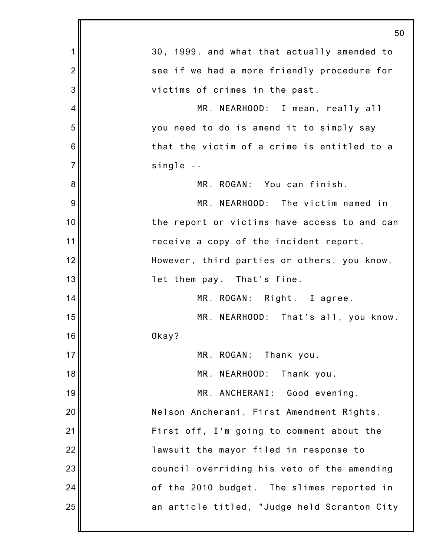|                | 50                                           |
|----------------|----------------------------------------------|
| 1              | 30, 1999, and what that actually amended to  |
| $\overline{2}$ | see if we had a more friendly procedure for  |
| 3              | victims of crimes in the past.               |
| 4              | MR. NEARHOOD: I mean, really all             |
| 5              | you need to do is amend it to simply say     |
| 6              | that the victim of a crime is entitled to a  |
| $\overline{7}$ | single --                                    |
| 8              | MR. ROGAN: You can finish.                   |
| 9              | MR. NEARHOOD: The victim named in            |
| 10             | the report or victims have access to and can |
| 11             | receive a copy of the incident report.       |
| 12             | However, third parties or others, you know,  |
| 13             | let them pay. That's fine.                   |
| 14             | MR. ROGAN: Right. I agree.                   |
| 15             | MR. NEARHOOD: That's all, you know.          |
| 16             | Okay?                                        |
| 17             | MR. ROGAN: Thank you.                        |
| 18             | MR. NEARHOOD: Thank you.                     |
| 19             | MR. ANCHERANI: Good evening.                 |
| 20             | Nelson Ancherani, First Amendment Rights.    |
| 21             | First off, I'm going to comment about the    |
| 22             | lawsuit the mayor filed in response to       |
| 23             | council overriding his veto of the amending  |
| 24             | of the 2010 budget. The slimes reported in   |
| 25             | an article titled, "Judge held Scranton City |
|                |                                              |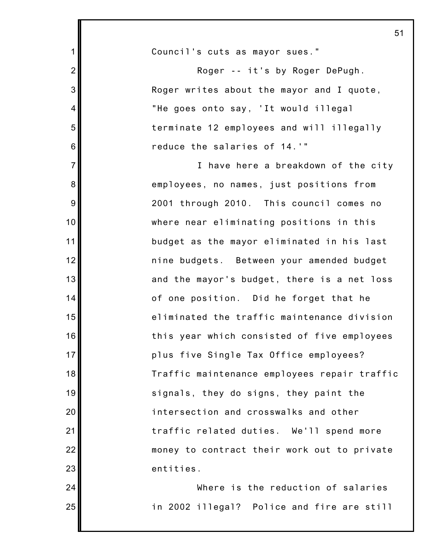| 1                | Council's cuts as mayor sues."               |
|------------------|----------------------------------------------|
| $\overline{2}$   | Roger -- it's by Roger DePugh.               |
| 3                | Roger writes about the mayor and I quote,    |
| $\overline{4}$   | "He goes onto say, 'It would illegal         |
| 5                | terminate 12 employees and will illegally    |
| 6                | reduce the salaries of 14.'"                 |
| $\overline{7}$   | I have here a breakdown of the city          |
| 8                | employees, no names, just positions from     |
| $\boldsymbol{9}$ | 2001 through 2010. This council comes no     |
| 10               | where near eliminating positions in this     |
| 11               | budget as the mayor eliminated in his last   |
| 12               | nine budgets. Between your amended budget    |
| 13               | and the mayor's budget, there is a net loss  |
| 14               | of one position. Did he forget that he       |
| 15               | eliminated the traffic maintenance division  |
| 16               | this year which consisted of five employees  |
| 17               | plus five Single Tax Office employees?       |
| 18               | Traffic maintenance employees repair traffic |
| 19               | signals, they do signs, they paint the       |
| 20               | intersection and crosswalks and other        |
| 21               | traffic related duties. We'll spend more     |
| 22               | money to contract their work out to private  |
| 23               | entities.                                    |
| 24               | Where is the reduction of salaries           |
| 25               | in 2002 illegal? Police and fire are still   |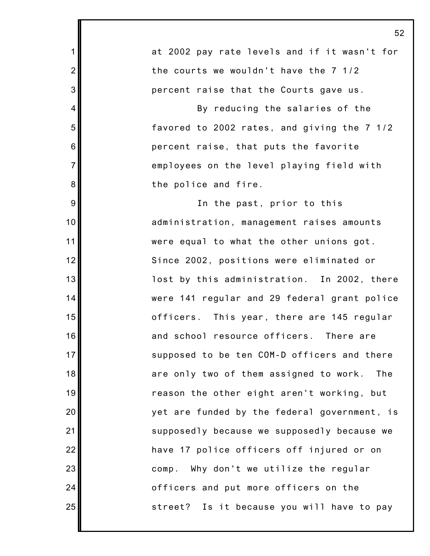| at 2002 pay rate levels and if it wasn't for  |
|-----------------------------------------------|
| the courts we wouldn't have the 7 1/2         |
| percent raise that the Courts gave us.        |
| By reducing the salaries of the               |
| favored to 2002 rates, and giving the 7 1/2   |
| percent raise, that puts the favorite         |
| employees on the level playing field with     |
| the police and fire.                          |
| In the past, prior to this                    |
| administration, management raises amounts     |
| were equal to what the other unions got.      |
| Since 2002, positions were eliminated or      |
| lost by this administration. In 2002, there   |
| were 141 regular and 29 federal grant police  |
| officers. This year, there are 145 regular    |
| and school resource officers. There are       |
| supposed to be ten COM-D officers and there   |
| are only two of them assigned to work.<br>The |
| reason the other eight aren't working, but    |
| yet are funded by the federal government, is  |
| supposedly because we supposedly because we   |
| have 17 police officers off injured or on     |
| comp. Why don't we utilize the regular        |
| officers and put more officers on the         |
| street? Is it because you will have to pay    |
|                                               |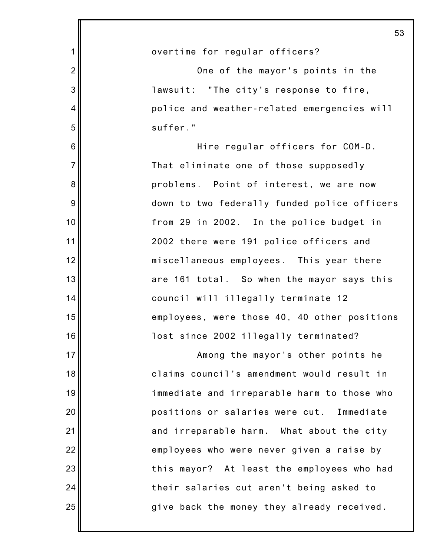|                 | 5.                                           |
|-----------------|----------------------------------------------|
| $\mathbf 1$     | overtime for regular officers?               |
| $\overline{2}$  | One of the mayor's points in the             |
| 3               | lawsuit: "The city's response to fire,       |
| 4               | police and weather-related emergencies will  |
| 5               | suffer."                                     |
| $6\phantom{1}6$ | Hire regular officers for COM-D.             |
| $\overline{7}$  | That eliminate one of those supposedly       |
| 8               | problems. Point of interest, we are now      |
| 9               | down to two federally funded police officers |
| 10              | from 29 in 2002. In the police budget in     |
| 11              | 2002 there were 191 police officers and      |
| 12              | miscellaneous employees. This year there     |
| 13              | are 161 total. So when the mayor says this   |
| 14              | council will illegally terminate 12          |
| 15              | employees, were those 40, 40 other positions |
| 16              | lost since 2002 illegally terminated?        |
| 17              | Among the mayor's other points he            |
| 18              | claims council's amendment would result in   |
| 19              | immediate and irreparable harm to those who  |
| 20              | positions or salaries were cut. Immediate    |
| 21              | and irreparable harm. What about the city    |
| 22              | employees who were never given a raise by    |
| 23              | this mayor? At least the employees who had   |
| 24              | their salaries cut aren't being asked to     |
| 25              | give back the money they already received.   |
|                 |                                              |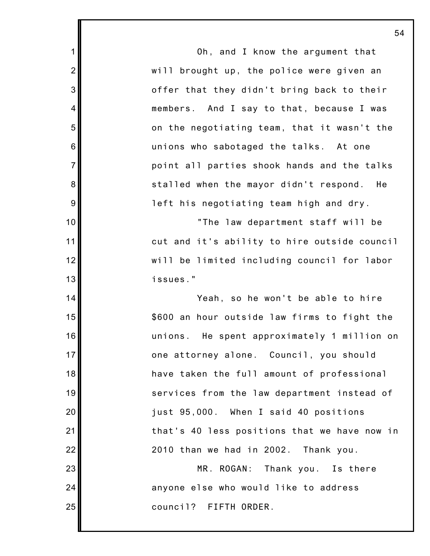1 2 3 4 5 6 7 8 9 10 11 12 13 14 15 16 17 18 19 20 21 22 23 24 25 Oh, and I know the argument that will brought up, the police were given an offer that they didn't bring back to their members. And I say to that, because I was on the negotiating team, that it wasn't the unions who sabotaged the talks. At one point all parties shook hands and the talks stalled when the mayor didn't respond. He left his negotiating team high and dry. "The law department staff will be cut and it's ability to hire outside council will be limited including council for labor issues." Yeah, so he won't be able to hire \$600 an hour outside law firms to fight the unions. He spent approximately 1 million on one attorney alone. Council, you should have taken the full amount of professional services from the law department instead of just 95,000. When I said 40 positions that's 40 less positions that we have now in 2010 than we had in 2002. Thank you. MR. ROGAN: Thank you. Is there anyone else who would like to address council? FIFTH ORDER.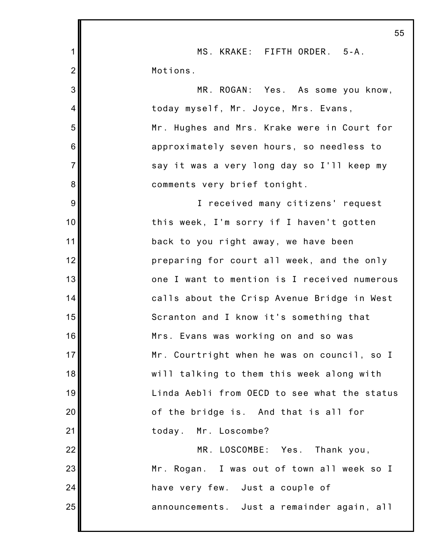|                | 55                                           |
|----------------|----------------------------------------------|
| $\mathbf{1}$   | MS. KRAKE: FIFTH ORDER. 5-A.                 |
| $\overline{2}$ | Motions.                                     |
| 3              | MR. ROGAN: Yes. As some you know,            |
| 4              | today myself, Mr. Joyce, Mrs. Evans,         |
| 5              | Mr. Hughes and Mrs. Krake were in Court for  |
| 6              | approximately seven hours, so needless to    |
| $\overline{7}$ | say it was a very long day so I'll keep my   |
| 8              | comments very brief tonight.                 |
| 9              | I received many citizens' request            |
| 10             | this week, I'm sorry if I haven't gotten     |
| 11             | back to you right away, we have been         |
| 12             | preparing for court all week, and the only   |
| 13             | one I want to mention is I received numerous |
| 14             | calls about the Crisp Avenue Bridge in West  |
| 15             | Scranton and I know it's something that      |
| 16             | Mrs. Evans was working on and so was         |
| 17             | Mr. Courtright when he was on council, so I  |
| 18             | will talking to them this week along with    |
| 19             | Linda Aebli from OECD to see what the status |
| 20             | of the bridge is. And that is all for        |
| 21             | today. Mr. Loscombe?                         |
| 22             | MR. LOSCOMBE: Yes. Thank you,                |
| 23             | Mr. Rogan. I was out of town all week so I   |
| 24             | have very few. Just a couple of              |
| 25             | announcements. Just a remainder again, all   |
|                |                                              |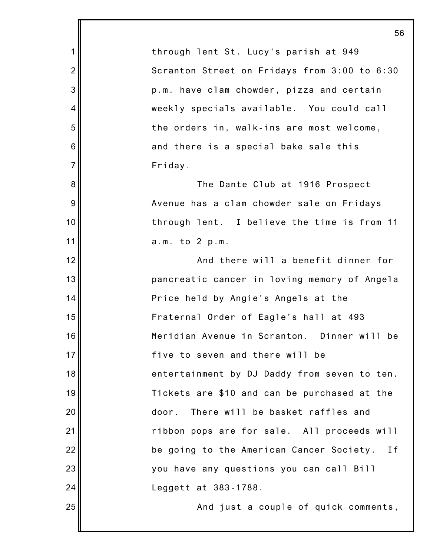through lent St. Lucy's parish at 949 Scranton Street on Fridays from 3:00 to 6:30 p.m. have clam chowder, pizza and certain weekly specials available. You could call the orders in, walk-ins are most welcome, and there is a special bake sale this Friday.

1

2

3

4

5

6

7

8

9

10

11

12

13

14

15

16

17

18

19

20

21

22

23

24

25

The Dante Club at 1916 Prospect Avenue has a clam chowder sale on Fridays through lent. I believe the time is from 11 a.m. to 2 p.m.

And there will a benefit dinner for pancreatic cancer in loving memory of Angela Price held by Angie's Angels at the Fraternal Order of Eagle's hall at 493 Meridian Avenue in Scranton. Dinner will be five to seven and there will be entertainment by DJ Daddy from seven to ten. Tickets are \$10 and can be purchased at the door. There will be basket raffles and ribbon pops are for sale. All proceeds will be going to the American Cancer Society. If you have any questions you can call Bill Leggett at 383-1788.

And just a couple of quick comments,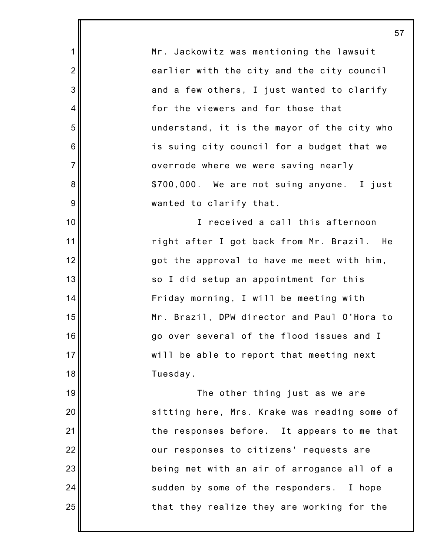Mr. Jackowitz was mentioning the lawsuit earlier with the city and the city council and a few others, I just wanted to clarify for the viewers and for those that understand, it is the mayor of the city who is suing city council for a budget that we overrode where we were saving nearly \$700,000. We are not suing anyone. I just wanted to clarify that.

1

2

3

4

5

6

7

8

9

10

11

12

13

14

15

16

17

18

19

20

21

22

23

24

25

I received a call this afternoon right after I got back from Mr. Brazil. He got the approval to have me meet with him, so I did setup an appointment for this Friday morning, I will be meeting with Mr. Brazil, DPW director and Paul O'Hora to go over several of the flood issues and I will be able to report that meeting next Tuesday.

The other thing just as we are sitting here, Mrs. Krake was reading some of the responses before. It appears to me that our responses to citizens' requests are being met with an air of arrogance all of a sudden by some of the responders. I hope that they realize they are working for the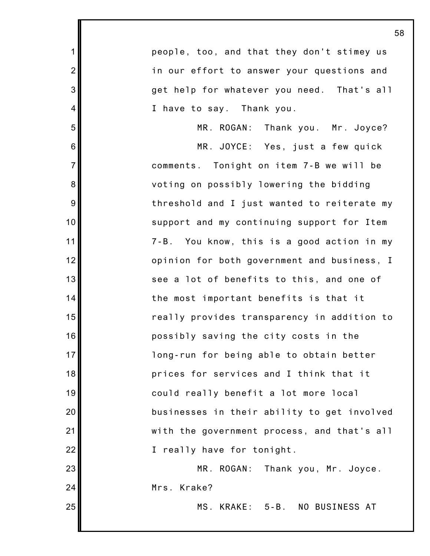|                | 58                                          |
|----------------|---------------------------------------------|
| 1              | people, too, and that they don't stimey us  |
| $\overline{2}$ | in our effort to answer your questions and  |
| 3              | get help for whatever you need. That's all  |
| $\overline{4}$ | I have to say. Thank you.                   |
| 5              | MR. ROGAN: Thank you. Mr. Joyce?            |
| 6              | MR. JOYCE: Yes, just a few quick            |
| $\overline{7}$ | comments. Tonight on item 7-B we will be    |
| 8              | voting on possibly lowering the bidding     |
| 9              | threshold and I just wanted to reiterate my |
| 10             | support and my continuing support for Item  |
| 11             | 7-B. You know, this is a good action in my  |
| 12             | opinion for both government and business, I |
| 13             | see a lot of benefits to this, and one of   |
| 14             | the most important benefits is that it      |
| 15             | really provides transparency in addition to |
| 16             | possibly saving the city costs in the       |
| 17             | long-run for being able to obtain better    |
| 18             | prices for services and I think that it     |
| 19             | could really benefit a lot more local       |
| 20             | businesses in their ability to get involved |
| 21             | with the government process, and that's all |
| 22             | I really have for tonight.                  |
| 23             | MR. ROGAN: Thank you, Mr. Joyce.            |
| 24             | Mrs. Krake?                                 |
| 25             | MS. KRAKE: 5-B. NO BUSINESS AT              |
|                |                                             |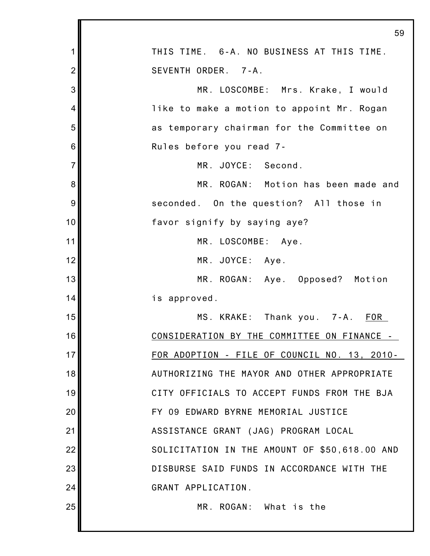|                | 59                                            |
|----------------|-----------------------------------------------|
| 1              | THIS TIME. 6-A. NO BUSINESS AT THIS TIME.     |
| $\overline{2}$ | SEVENTH ORDER. 7-A.                           |
| 3              | MR. LOSCOMBE: Mrs. Krake, I would             |
| 4              | like to make a motion to appoint Mr. Rogan    |
| 5              | as temporary chairman for the Committee on    |
| 6              | Rules before you read 7-                      |
| $\overline{7}$ | MR. JOYCE: Second.                            |
| 8              | MR. ROGAN: Motion has been made and           |
| 9              | seconded. On the question? All those in       |
| 10             | favor signify by saying aye?                  |
| 11             | MR. LOSCOMBE: Aye.                            |
| 12             | MR. JOYCE: Aye.                               |
| 13             | MR. ROGAN: Aye. Opposed?<br>Motion            |
| 14             | is approved.                                  |
| 15             | MS. KRAKE:<br>Thank you. 7-A.<br>F0R          |
| 16             | CONSIDERATION BY THE COMMITTEE ON FINANCE -   |
| 17             | FOR ADOPTION - FILE OF COUNCIL NO. 13, 2010-  |
| 18             | AUTHORIZING THE MAYOR AND OTHER APPROPRIATE   |
| 19             | CITY OFFICIALS TO ACCEPT FUNDS FROM THE BJA   |
| 20             | FY 09 EDWARD BYRNE MEMORIAL JUSTICE           |
| 21             | ASSISTANCE GRANT (JAG) PROGRAM LOCAL          |
| 22             | SOLICITATION IN THE AMOUNT OF \$50,618.00 AND |
| 23             | DISBURSE SAID FUNDS IN ACCORDANCE WITH THE    |
| 24             | GRANT APPLICATION.                            |
| 25             | MR. ROGAN: What is the                        |
|                |                                               |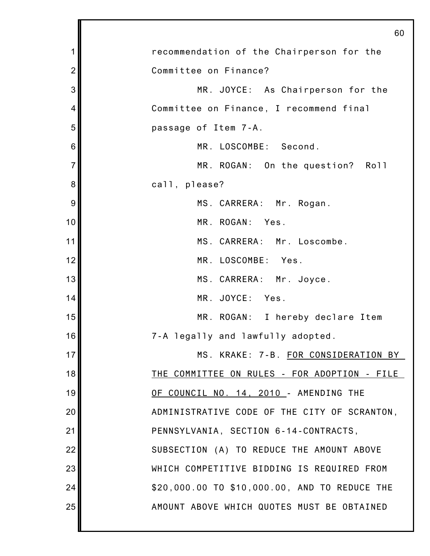|                | 60                                                   |
|----------------|------------------------------------------------------|
| 1              | recommendation of the Chairperson for the            |
| $\overline{2}$ | Committee on Finance?                                |
| 3              | MR. JOYCE: As Chairperson for the                    |
| $\overline{4}$ | Committee on Finance, I recommend final              |
| 5              | passage of Item 7-A.                                 |
| 6              | MR. LOSCOMBE: Second.                                |
| $\overline{7}$ | MR. ROGAN: On the question? Roll                     |
| 8              | call, please?                                        |
| 9              | MS. CARRERA: Mr. Rogan.                              |
| 10             | MR. ROGAN: Yes.                                      |
| 11             | MS. CARRERA: Mr. Loscombe.                           |
| 12             | MR. LOSCOMBE: Yes.                                   |
| 13             | MS. CARRERA: Mr. Joyce.                              |
| 14             | MR. JOYCE: Yes.                                      |
| 15             | MR. ROGAN: I hereby declare Item                     |
| 16             | 7-A legally and lawfully adopted.                    |
| 17             | MS. KRAKE: 7-B. FOR CONSIDERATION BY                 |
| 18             | <u> THE COMMITTEE ON RULES - FOR ADOPTION - FILE</u> |
| 19             | OF COUNCIL NO. 14, 2010 - AMENDING THE               |
| 20             | ADMINISTRATIVE CODE OF THE CITY OF SCRANTON,         |
| 21             | PENNSYLVANIA, SECTION 6-14-CONTRACTS,                |
| 22             | SUBSECTION (A) TO REDUCE THE AMOUNT ABOVE            |
| 23             | WHICH COMPETITIVE BIDDING IS REQUIRED FROM           |
| 24             | \$20,000.00 TO \$10,000.00, AND TO REDUCE THE        |
| 25             | AMOUNT ABOVE WHICH QUOTES MUST BE OBTAINED           |
|                |                                                      |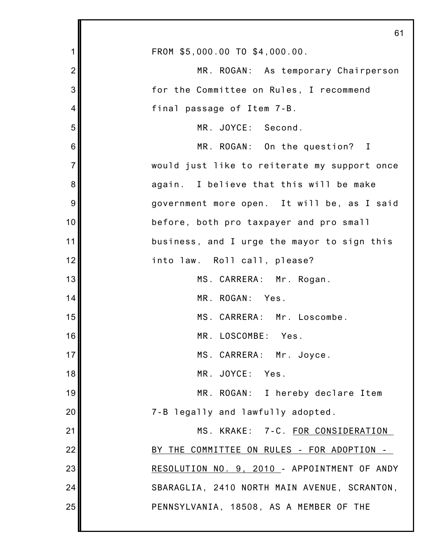|                | 61                                           |
|----------------|----------------------------------------------|
| 1              | FROM \$5,000.00 TO \$4,000.00.               |
| $\overline{2}$ | MR. ROGAN: As temporary Chairperson          |
| 3              | for the Committee on Rules, I recommend      |
| 4              | final passage of Item 7-B.                   |
| 5              | MR. JOYCE: Second.                           |
| 6              | MR. ROGAN: On the question? I                |
| $\overline{7}$ | would just like to reiterate my support once |
| 8              | again. I believe that this will be make      |
| 9              | government more open. It will be, as I said  |
| 10             | before, both pro taxpayer and pro small      |
| 11             | business, and I urge the mayor to sign this  |
| 12             | into law. Roll call, please?                 |
| 13             | MS. CARRERA: Mr. Rogan.                      |
| 14             | MR. ROGAN: Yes.                              |
| 15             | MS. CARRERA: Mr. Loscombe.                   |
| 16             | MR. LOSCOMBE: Yes.                           |
| 17             | MS. CARRERA: Mr. Joyce.                      |
| 18             | MR. JOYCE: Yes.                              |
| 19             | MR. ROGAN: I hereby declare Item             |
| 20             | 7-B legally and lawfully adopted.            |
| 21             | MS. KRAKE: 7-C. FOR CONSIDERATION            |
| 22             | BY THE COMMITTEE ON RULES - FOR ADOPTION -   |
| 23             | RESOLUTION NO. 9, 2010 - APPOINTMENT OF ANDY |
| 24             | SBARAGLIA, 2410 NORTH MAIN AVENUE, SCRANTON, |
| 25             | PENNSYLVANIA, 18508, AS A MEMBER OF THE      |
|                |                                              |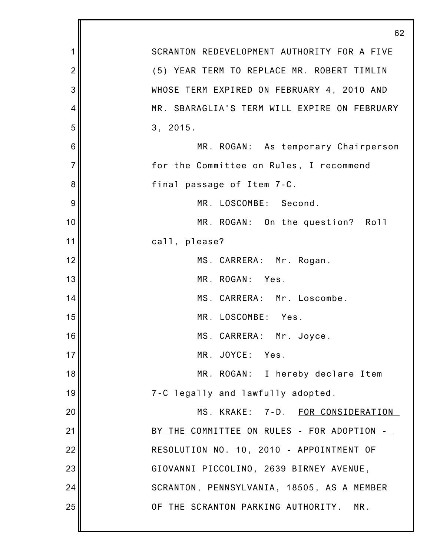|                | 62                                           |
|----------------|----------------------------------------------|
| 1              | SCRANTON REDEVELOPMENT AUTHORITY FOR A FIVE  |
| $\overline{2}$ | (5) YEAR TERM TO REPLACE MR. ROBERT TIMLIN   |
| 3              | WHOSE TERM EXPIRED ON FEBRUARY 4, 2010 AND   |
| 4              | MR. SBARAGLIA'S TERM WILL EXPIRE ON FEBRUARY |
| 5              | 3, 2015.                                     |
| 6              | MR. ROGAN: As temporary Chairperson          |
| $\overline{7}$ | for the Committee on Rules, I recommend      |
| 8              | final passage of Item 7-C.                   |
| 9              | MR. LOSCOMBE: Second.                        |
| 10             | MR. ROGAN: On the question? Roll             |
| 11             | call, please?                                |
| 12             | MS. CARRERA: Mr. Rogan.                      |
| 13             | MR. ROGAN: Yes.                              |
| 14             | MS. CARRERA: Mr. Loscombe.                   |
| 15             | MR. LOSCOMBE: Yes.                           |
| 16             | MS. CARRERA: Mr. Joyce.                      |
| 17             | MR. JOYCE: Yes.                              |
| 18             | MR. ROGAN: I hereby declare Item             |
| 19             | 7-C legally and lawfully adopted.            |
| 20             | MS. KRAKE: 7-D. FOR CONSIDERATION            |
| 21             | BY THE COMMITTEE ON RULES - FOR ADOPTION -   |
| 22             | RESOLUTION NO. 10, 2010 - APPOINTMENT OF     |
| 23             | GIOVANNI PICCOLINO, 2639 BIRNEY AVENUE,      |
| 24             | SCRANTON, PENNSYLVANIA, 18505, AS A MEMBER   |
| 25             | OF THE SCRANTON PARKING AUTHORITY. MR.       |
|                |                                              |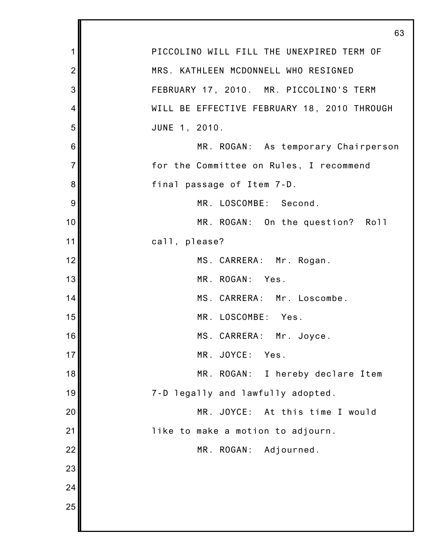|                | 63                                          |
|----------------|---------------------------------------------|
| 1              | PICCOLINO WILL FILL THE UNEXPIRED TERM OF   |
| $\overline{2}$ | MRS. KATHLEEN MCDONNELL WHO RESIGNED        |
| 3              | FEBRUARY 17, 2010. MR. PICCOLINO'S TERM     |
| 4              | WILL BE EFFECTIVE FEBRUARY 18, 2010 THROUGH |
| 5              | JUNE 1, 2010.                               |
| 6              | MR. ROGAN: As temporary Chairperson         |
| $\overline{7}$ | for the Committee on Rules, I recommend     |
| 8              | final passage of Item 7-D.                  |
| 9              | MR. LOSCOMBE: Second.                       |
| 10             | MR. ROGAN: On the question? Roll            |
| 11             | call, please?                               |
| 12             | MS. CARRERA: Mr. Rogan.                     |
| 13             | MR. ROGAN: Yes.                             |
| 14             | MS. CARRERA: Mr. Loscombe.                  |
| 15             | MR. LOSCOMBE: Yes.                          |
| 16             | MS. CARRERA: Mr. Joyce.                     |
| 17             | MR. JOYCE: Yes.                             |
| 18             | MR. ROGAN: I hereby declare Item            |
| 19             | 7-D legally and lawfully adopted.           |
| 20             | MR. JOYCE: At this time I would             |
| 21             | like to make a motion to adjourn.           |
| 22             | MR. ROGAN: Adjourned.                       |
| 23             |                                             |
| 24             |                                             |
| 25             |                                             |
|                |                                             |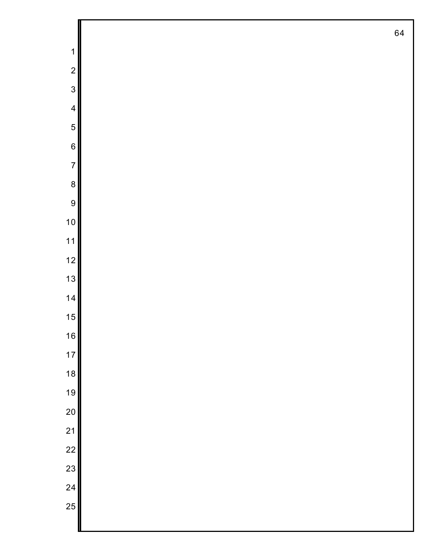|                                  | 64 |
|----------------------------------|----|
| $\mathbf{1}$                     |    |
| $\overline{c}$                   |    |
| $\overline{3}$                   |    |
| $\overline{\mathcal{L}}$         |    |
| $\overline{5}$                   |    |
| $\overline{6}$                   |    |
| $\overline{7}$                   |    |
| 8                                |    |
| 9                                |    |
| $10$                             |    |
|                                  |    |
| $\frac{11}{12}$                  |    |
| 13                               |    |
| $\frac{1}{4}$                    |    |
| 15                               |    |
| 16                               |    |
| $17$                             |    |
| 18<br>19                         |    |
|                                  |    |
|                                  |    |
|                                  |    |
|                                  |    |
|                                  |    |
| 20<br>21<br>22<br>23<br>24<br>25 |    |
|                                  |    |
|                                  |    |